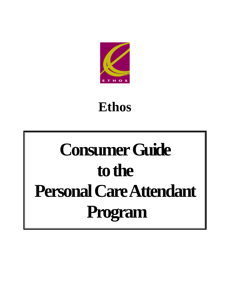

# **Ethos**

# **Consumer Guide to the Personal Care Attendant Program**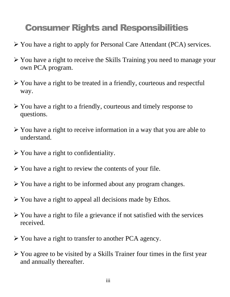# Consumer Rights and Responsibilities

- You have a right to apply for Personal Care Attendant (PCA) services.
- You have a right to receive the Skills Training you need to manage your own PCA program.
- $\triangleright$  You have a right to be treated in a friendly, courteous and respectful way.
- $\triangleright$  You have a right to a friendly, courteous and timely response to questions.
- $\triangleright$  You have a right to receive information in a way that you are able to understand.
- $\triangleright$  You have a right to confidentiality.
- $\triangleright$  You have a right to review the contents of your file.
- $\triangleright$  You have a right to be informed about any program changes.
- $\triangleright$  You have a right to appeal all decisions made by Ethos.
- $\triangleright$  You have a right to file a grievance if not satisfied with the services received.
- You have a right to transfer to another PCA agency.
- $\triangleright$  You agree to be visited by a Skills Trainer four times in the first year and annually thereafter.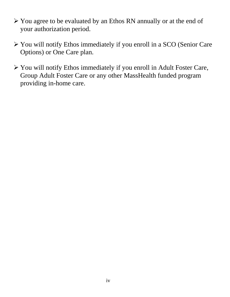- You agree to be evaluated by an Ethos RN annually or at the end of your authorization period.
- You will notify Ethos immediately if you enroll in a SCO (Senior Care Options) or One Care plan.
- You will notify Ethos immediately if you enroll in Adult Foster Care, Group Adult Foster Care or any other MassHealth funded program providing in-home care.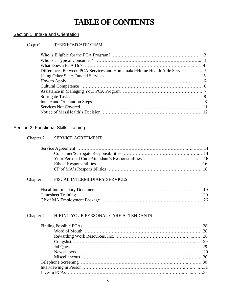# **TABLE OF CONTENTS**

#### Section 1: Intake and Orientation

#### Chapter 1 THE ETHOS PCA PROGRAM

| Differences Between PCA Services and Homemaker/Home Health Aide Services  5 |  |
|-----------------------------------------------------------------------------|--|
|                                                                             |  |
|                                                                             |  |
|                                                                             |  |
|                                                                             |  |
|                                                                             |  |
|                                                                             |  |
|                                                                             |  |
|                                                                             |  |

#### Section 2: Functional Skills Training

#### Chapter 2 SERVICE AGREEMENT

#### Chapter 3 FISCAL INTERMEDIARY SERVICES

#### Chapter 4 HIRING YOUR PERSONAL CARE ATTENDANTS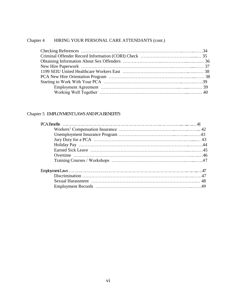#### Chapter 4 HIRING YOUR PERSONAL CARE ATTENDANTS (cont.)

#### Chapter 5 EMPLOYMENT LAWS AND PCA BENEFITS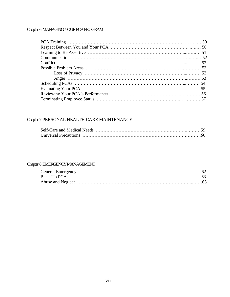#### Chapter 6 MANAGING YOUR PCA PROGRAM

#### Chapter 7 PERSONAL HEALTH CARE MAINTENANCE

#### Chapter 8 EMERGENCY MANAGEMENT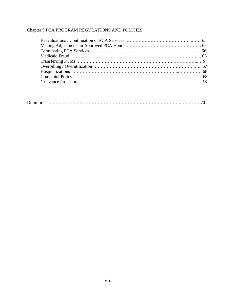#### Chapter 9 PCA PROGRAM REGULATIONS AND POLICIES

| $\mathbf{r}$ $\alpha$ |  |  |
|-----------------------|--|--|
|-----------------------|--|--|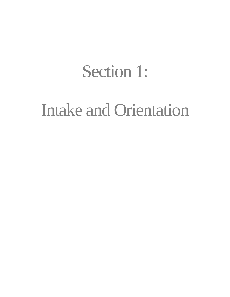# Section 1:

# Intake and Orientation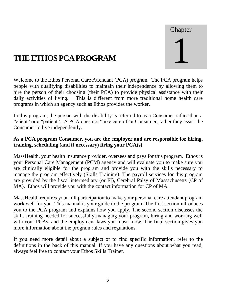# Chapter 1

# **THE ETHOS PCA PROGRAM**

Welcome to the Ethos Personal Care Attendant (PCA) program. The PCA program helps people with qualifying disabilities to maintain their independence by allowing them to hire the person of their choosing (their PCA) to provide physical assistance with their daily activities of living. This is different from more traditional home health care programs in which an agency such as Ethos provides the worker.

In this program, the person with the disability is referred to as a Consumer rather than a "client" or a "patient". A PCA does not "take care of" a Consumer, rather they assist the Consumer to live independently.

#### **As a PCA program Consumer, you are the employer and are responsible for hiring, training, scheduling (and if necessary) firing your PCA(s).**

MassHealth, your health insurance provider, oversees and pays for this program. Ethos is your Personal Care Management (PCM) agency and will evaluate you to make sure you are clinically eligible for the program and provide you with the skills necessary to manage the program effectively (Skills Training). The payroll services for this program are provided by the fiscal intermediary (or FI), Cerebral Palsy of Massachusetts (CP of MA). Ethos will provide you with the contact information for CP of MA.

MassHealth requires your full participation to make your personal care attendant program work well for you. This manual is your guide to the program. The first section introduces you to the PCA program and explains how you apply. The second section discusses the skills training needed for successfully managing your program, hiring and working well with your PCAs, and the employment laws you must know. The final section gives you more information about the program rules and regulations.

If you need more detail about a subject or to find specific information, refer to the definitions in the back of this manual. If you have any questions about what you read, always feel free to contact your Ethos Skills Trainer.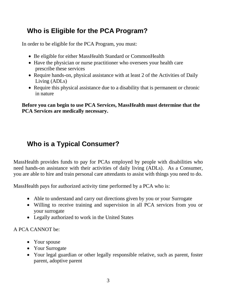# **Who is Eligible for the PCA Program?**

In order to be eligible for the PCA Program, you must:

- Be eligible for either MassHealth Standard or CommonHealth
- Have the physician or nurse practitioner who oversees your health care prescribe these services
- Require hands-on, physical assistance with at least 2 of the Activities of Daily Living (ADLs)
- Require this physical assistance due to a disability that is permanent or chronic in nature

**Before you can begin to use PCA Services, MassHealth must determine that the PCA Services are medically necessary.** 

# **Who is a Typical Consumer?**

MassHealth provides funds to pay for PCAs employed by people with disabilities who need hands-on assistance with their activities of daily living (ADLs). As a Consumer, you are able to hire and train personal care attendants to assist with things you need to do.

MassHealth pays for authorized activity time performed by a PCA who is:

- Able to understand and carry out directions given by you or your Surrogate
- Willing to receive training and supervision in all PCA services from you or your surrogate
- Legally authorized to work in the United States

#### A PCA CANNOT be:

- Your spouse
- Your Surrogate
- Your legal guardian or other legally responsible relative, such as parent, foster parent, adoptive parent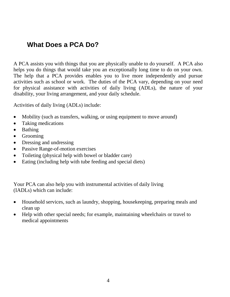## **What Does a PCA Do?**

A PCA assists you with things that you are physically unable to do yourself. A PCA also helps you do things that would take you an exceptionally long time to do on your own. The help that a PCA provides enables you to live more independently and pursue activities such as school or work. The duties of the PCA vary, depending on your need for physical assistance with activities of daily living (ADLs), the nature of your disability, your living arrangement, and your daily schedule.

Activities of daily living (ADLs) include:

- Mobility (such as transfers, walking, or using equipment to move around)
- Taking medications
- Bathing
- Grooming
- Dressing and undressing
- Passive Range-of-motion exercises
- Toileting (physical help with bowel or bladder care)
- Eating (including help with tube feeding and special diets)

Your PCA can also help you with instrumental activities of daily living (IADLs) which can include:

- Household services, such as laundry, shopping, housekeeping, preparing meals and clean up
- Help with other special needs; for example, maintaining wheelchairs or travel to medical appointments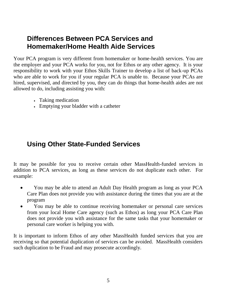#### **Differences Between PCA Services and Homemaker/Home Health Aide Services**

Your PCA program is very different from homemaker or home-health services. You are the employer and your PCA works for you, not for Ethos or any other agency. It is your responsibility to work with your Ethos Skills Trainer to develop a list of back-up PCAs who are able to work for you if your regular PCA is unable to. Because your PCAs are hired, supervised, and directed by you, they can do things that home-health aides are not allowed to do, including assisting you with:

- Taking medication
- Emptying your bladder with a catheter

## **Using Other State-Funded Services**

It may be possible for you to receive certain other MassHealth-funded services in addition to PCA services, as long as these services do not duplicate each other. For example:

- You may be able to attend an Adult Day Health program as long as your PCA Care Plan does not provide you with assistance during the times that you are at the program
- You may be able to continue receiving homemaker or personal care services from your local Home Care agency (such as Ethos) as long your PCA Care Plan does not provide you with assistance for the same tasks that your homemaker or personal care worker is helping you with.

It is important to inform Ethos of any other MassHealth funded services that you are receiving so that potential duplication of services can be avoided. MassHealth considers such duplication to be Fraud and may prosecute accordingly.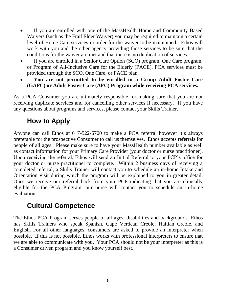- If you are enrolled with one of the MassHealth Home and Community Based Waivers (such as the Frail Elder Waiver) you may be required to maintain a certain level of Home Care services in order for the waiver to be maintained. Ethos will work with you and the other agency providing those services to be sure that the conditions for the waiver are met and that there is no duplication of services.
- If you are enrolled in a Senior Care Option (SCO) program, One Care program, or Program of All-Inclusive Care for the Elderly (PACE), PCA services must be provided through the SCO, One Care, or PACE plan.
- **You are not permitted to be enrolled in a Group Adult Foster Care (GAFC) or Adult Foster Care (AFC) Program while receiving PCA services.**

As a PCA Consumer you are ultimately responsible for making sure that you are not receiving duplicate services and for cancelling other services if necessary. If you have any questions about programs and services, please contact your Skills Trainer.

## **How to Apply**

Anyone can call Ethos at 617-522-6700 to make a PCA referral however it's always preferable for the prospective Consumer to call us themselves. Ethos accepts referrals for people of all ages. Please make sure to have your MassHealth number available as well as contact information for your Primary Care Provider (your doctor or nurse practitioner). Upon receiving the referral, Ethos will send an Initial Referral to your PCP's office for your doctor or nurse practitioner to complete. Within 2 business days of receiving a completed referral, a Skills Trainer will contact you to schedule an in-home Intake and Orientation visit during which the program will be explained to you in greater detail. Once we receive our referral back from your PCP indicating that you are clinically eligible for the PCA Program, our nurse will contact you to schedule an in-home evaluation.

#### **Cultural Competence**

The Ethos PCA Program serves people of all ages, disabilities and backgrounds. Ethos has Skills Trainers who speak Spanish, Cape Verdean Creole, Haitian Creole, and English. For all other languages, consumers are asked to provide an interpreter when possible. If this is not possible, Ethos works with professional interpreters to ensure that we are able to communicate with you. Your PCA should not be your interpreter as this is a Consumer driven program and you know yourself best.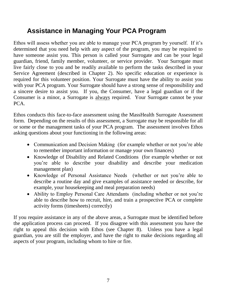# **Assistance in Managing Your PCA Program**

Ethos will assess whether you are able to manage your PCA program by yourself. If it's determined that you need help with any aspect of the program, you may be required to have someone assist you. This person is called your Surrogate and can be your legal guardian, friend, family member, volunteer, or service provider. Your Surrogate must live fairly close to you and be readily available to perform the tasks described in your Service Agreement (described in Chapter 2). No specific education or experience is required for this volunteer position. Your Surrogate must have the ability to assist you with your PCA program. Your Surrogate should have a strong sense of responsibility and a sincere desire to assist you. If you, the Consumer, have a legal guardian or if the Consumer is a minor, a Surrogate is always required. Your Surrogate cannot be your PCA.

Ethos conducts this face-to-face assessment using the MassHealth Surrogate Assessment form. Depending on the results of this assessment, a Surrogate may be responsible for all or some or the management tasks of your PCA program. The assessment involves Ethos asking questions about your functioning in the following areas:

- Communication and Decision Making (for example whether or not you're able to remember important information or manage your own finances)
- Knowledge of Disability and Related Conditions (for example whether or not you're able to describe your disability and describe your medication management plan)
- Knowledge of Personal Assistance Needs (whether or not you're able to describe a routine day and give examples of assistance needed or describe, for example, your housekeeping and meal preparation needs)
- Ability to Employ Personal Care Attendants (including whether or not you're able to describe how to recruit, hire, and train a prospective PCA or complete activity forms (timesheets) correctly)

If you require assistance in any of the above areas, a Surrogate must be identified before the application process can proceed. If you disagree with this assessment you have the right to appeal this decision with Ethos (see Chapter 8). Unless you have a legal guardian, you are still the employer, and have the right to make decisions regarding all aspects of your program, including whom to hire or fire.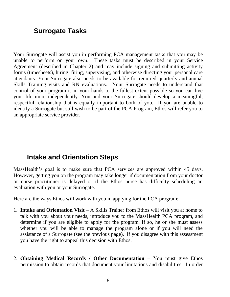## **Surrogate Tasks**

Your Surrogate will assist you in performing PCA management tasks that you may be unable to perform on your own. These tasks must be described in your Service Agreement (described in Chapter 2) and may include signing and submitting activity forms (timesheets), hiring, firing, supervising, and otherwise directing your personal care attendants. Your Surrogate also needs to be available for required quarterly and annual Skills Training visits and RN evaluations. Your Surrogate needs to understand that control of your program is in your hands to the fullest extent possible so you can live your life more independently. You and your Surrogate should develop a meaningful, respectful relationship that is equally important to both of you. If you are unable to identify a Surrogate but still wish to be part of the PCA Program, Ethos will refer you to an appropriate service provider.

#### **Intake and Orientation Steps**

MassHealth's goal is to make sure that PCA services are approved within 45 days. However, getting you on the program may take longer if documentation from your doctor or nurse practitioner is delayed or if the Ethos nurse has difficulty scheduling an evaluation with you or your Surrogate.

Here are the ways Ethos will work with you in applying for the PCA program:

- 1. **Intake and Orientation Visit** A Skills Trainer from Ethos will visit you at home to talk with you about your needs, introduce you to the MassHealth PCA program, and determine if you are eligible to apply for the program. If so, he or she must assess whether you will be able to manage the program alone or if you will need the assistance of a Surrogate (see the previous page). If you disagree with this assessment you have the right to appeal this decision with Ethos.
- 2. **Obtaining Medical Records / Other Documentation** You must give Ethos permission to obtain records that document your limitations and disabilities. In order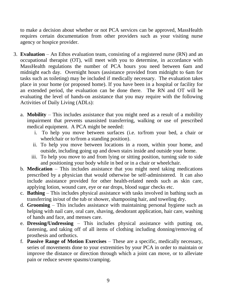to make a decision about whether or not PCA services can be approved, MassHealth requires certain documentation from other providers such as your visiting nurse agency or hospice provider.

- 3. **Evaluation** An Ethos evaluation team, consisting of a registered nurse (RN) and an occupational therapist (OT), will meet with you to determine, in accordance with MassHealth regulations the number of PCA hours you need between 6am and midnight each day. Overnight hours (assistance provided from midnight to 6am for tasks such as toileting) may be included if medically necessary. The evaluation takes place in your home (or proposed home). If you have been in a hospital or facility for an extended period, the evaluation can be done there. The RN and OT will be evaluating the level of hands-on assistance that you may require with the following Activities of Daily Living (ADLs):
	- a. **Mobility** This includes assistance that you might need as a result of a mobility impairment that prevents unassisted transferring, walking or use of prescribed medical equipment. A PCA might be needed:
		- i. To help you move between surfaces (i.e. to/from your bed, a chair or wheelchair or to/from a standing position).
		- ii. To help you move between locations in a room, within your home, and outside, including going up and down stairs inside and outside your home.
		- iii. To help you move to and from lying or sitting position, turning side to side and positioning your body while in bed or in a chair or wheelchair.
	- b. **Medication** This includes assistance that you might need taking medications prescribed by a physician that would otherwise be self-administered. It can also include assistance provided for other health-related needs such as skin care, applying lotion, wound care, eye or ear drops, blood sugar checks etc.
	- c. **Bathing** This includes physical assistance with tasks involved in bathing such as transferring in/out of the tub or shower, shampooing hair, and toweling dry.
	- d. **Grooming** This includes assistance with maintaining personal hygiene such as helping with nail care, oral care, shaving, deodorant application, hair care, washing of hands and face, and menses care.
	- e. **Dressing/Undressing** This includes physical assistance with putting on, fastening, and taking off of all items of clothing including donning/removing of prosthesis and orthotics.
	- f. **Passive Range of Motion Exercises** These are a specific, medically necessary, series of movements done to your extremities by your PCA in order to maintain or improve the distance or direction through which a joint can move, or to alleviate pain or reduce severe spasms/cramping.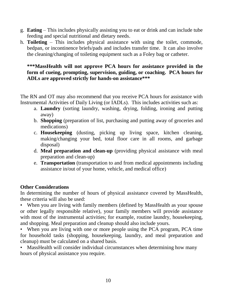- g. **Eating** This includes physically assisting you to eat or drink and can include tube feeding and special nutritional and dietary needs.
- h. **Toileting** This includes physical assistance with using the toilet, commode, bedpan, or incontinence briefs/pads and includes transfer time. It can also involve the cleaning/changing of toileting equipment such as a Foley bag or catheter.

#### **\*\*\*MassHealth will not approve PCA hours for assistance provided in the form of cueing, prompting, supervision, guiding, or coaching. PCA hours for ADLs are approved strictly for hands-on assistance\*\*\***

The RN and OT may also recommend that you receive PCA hours for assistance with Instrumental Activities of Daily Living (or IADLs). This includes activities such as:

- a. **Laundry** (sorting laundry, washing, drying, folding, ironing and putting away)
- b. **Shopping** (preparation of list, purchasing and putting away of groceries and medications)
- c. **Housekeeping** (dusting, picking up living space, kitchen cleaning, making/changing your bed, total floor care in all rooms, and garbage disposal)
- d. **Meal preparation and clean-up** (providing physical assistance with meal preparation and clean-up)
- e. **Transportation** (transportation to and from medical appointments including assistance in/out of your home, vehicle, and medical office)

#### **Other Considerations**

In determining the number of hours of physical assistance covered by MassHealth, these criteria will also be used:

• When you are living with family members (defined by MassHealth as your spouse or other legally responsible relative), your family members will provide assistance with most of the instrumental activities; for example, routine laundry, housekeeping, and shopping. Meal preparation and cleanup should also include yours.

• When you are living with one or more people using the PCA program, PCA time for household tasks (shopping, housekeeping, laundry, and meal preparation and cleanup) must be calculated on a shared basis.

• MassHealth will consider individual circumstances when determining how many hours of physical assistance you require.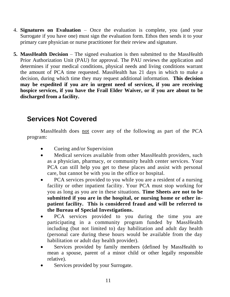- 4. **Signatures on Evaluation**  Once the evaluation is complete, you (and your Surrogate if you have one) must sign the evaluation form. Ethos then sends it to your primary care physician or nurse practitioner for their review and signature.
- **5. MassHealth Decision** The signed evaluation is then submitted to the MassHealth Prior Authorization Unit (PAU) for approval. The PAU reviews the application and determines if your medical conditions, physical needs and living conditions warrant the amount of PCA time requested. MassHealth has 21 days in which to make a decision, during which time they may request additional information. **This decision may be expedited if you are in urgent need of services, if you are receiving hospice services, if you have the Frail Elder Waiver, or if you are about to be discharged from a facility.**

## **Services Not Covered**

MassHealth does not cover any of the following as part of the PCA program:

- Cueing and/or Supervision
- Medical services available from other MassHealth providers, such as a physician, pharmacy, or community health center services. Your PCA can still help you get to these places and assist with personal care, but cannot be with you in the office or hospital.
- PCA services provided to you while you are a resident of a nursing facility or other inpatient facility. Your PCA must stop working for you as long as you are in these situations. **Time Sheets are not to be submitted if you are in the hospital, or nursing home or other inpatient facility. This is considered fraud and will be referred to the Bureau of Special Investigations.**
- PCA services provided to you during the time you are participating in a community program funded by MassHealth including (but not limited to) day habilitation and adult day health (personal care during these hours would be available from the day habilitation or adult day health provider).
- Services provided by family members (defined by MassHealth to mean a spouse, parent of a minor child or other legally responsible relative).
- Services provided by your Surrogate.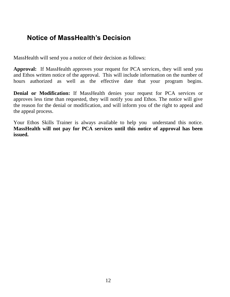#### **Notice of MassHealth's Decision**

MassHealth will send you a notice of their decision as follows:

**Approval:** If MassHealth approves your request for PCA services, they will send you and Ethos written notice of the approval. This will include information on the number of hours authorized as well as the effective date that your program begins.

**Denial or Modification:** If MassHealth denies your request for PCA services or approves less time than requested, they will notify you and Ethos. The notice will give the reason for the denial or modification, and will inform you of the right to appeal and the appeal process.

Your Ethos Skills Trainer is always available to help you understand this notice. **MassHealth will not pay for PCA services until this notice of approval has been issued.**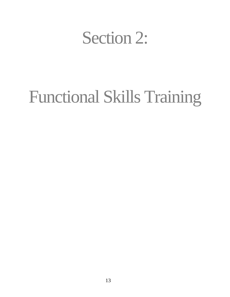# Section 2:

# Functional Skills Training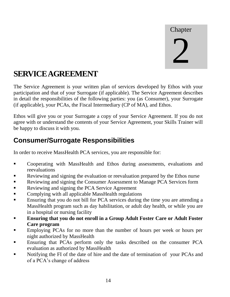Chapter 2

# **SERVICE AGREEMENT**

The Service Agreement is your written plan of services developed by Ethos with your participation and that of your Surrogate (if applicable). The Service Agreement describes in detail the responsibilities of the following parties: you (as Consumer), your Surrogate (if applicable), your PCAs, the Fiscal Intermediary (CP of MA), and Ethos.

Ethos will give you or your Surrogate a copy of your Service Agreement. If you do not agree with or understand the contents of your Service Agreement, your Skills Trainer will be happy to discuss it with you.

## **Consumer/Surrogate Responsibilities**

In order to receive MassHealth PCA services, you are responsible for:

- Cooperating with MassHealth and Ethos during assessments, evaluations and reevaluations
- Reviewing and signing the evaluation or reevaluation prepared by the Ethos nurse
- Reviewing and signing the Consumer Assessment to Manage PCA Services form
- Reviewing and signing the PCA Service Agreement
- **Complying with all applicable MassHealth regulations**
- Ensuring that you do not bill for PCA services during the time you are attending a MassHealth program such as day habilitation, or adult day health, or while you are in a hospital or nursing facility
- **Ensuring that you do not enroll in a Group Adult Foster Care or Adult Foster Care program**
- **Employing PCAs for no more than the number of hours per week or hours per** night authorized by MassHealth
- **Ensuring that PCAs perform only the tasks described on the consumer PCA** evaluation as authorized by MassHealth
- Notifying the FI of the date of hire and the date of termination of your PCAs and of a PCA's change of address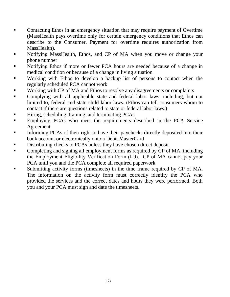- Contacting Ethos in an emergency situation that may require payment of Overtime (MassHealth pays overtime only for certain emergency conditions that Ethos can describe to the Consumer. Payment for overtime requires authorization from MassHealth).
- Notifying MassHealth, Ethos, and CP of MA when you move or change your phone number
- Notifying Ethos if more or fewer PCA hours are needed because of a change in medical condition or because of a change in living situation
- Working with Ethos to develop a backup list of persons to contact when the regularly scheduled PCA cannot work
- Working with CP of MA and Ethos to resolve any disagreements or complaints
- Complying with all applicable state and federal labor laws, including, but not limited to, federal and state child labor laws. (Ethos can tell consumers whom to contact if there are questions related to state or federal labor laws.)
- **Hiring, scheduling, training, and terminating PCAs**
- **Employing PCAs who meet the requirements described in the PCA Service** Agreement
- Informing PCAs of their right to have their paychecks directly deposited into their bank account or electronically onto a Debit MasterCard
- Distributing checks to PCAs unless they have chosen direct deposit
- **Completing and signing all employment forms as required by CP of MA, including** the Employment Eligibility Verification Form (I-9). CP of MA cannot pay your PCA until you and the PCA complete all required paperwork
- Submitting activity forms (timesheets) in the time frame required by CP of MA. The information on the activity form must correctly identify the PCA who provided the services and the correct dates and hours they were performed. Both you and your PCA must sign and date the timesheets.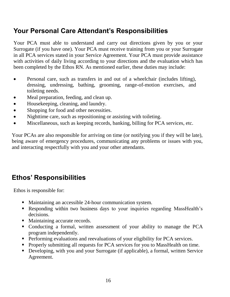# **Your Personal Care Attendant's Responsibilities**

Your PCA must able to understand and carry out directions given by you or your Surrogate (if you have one). Your PCA must receive training from you or your Surrogate in all PCA services stated in your Service Agreement. Your PCA must provide assistance with activities of daily living according to your directions and the evaluation which has been completed by the Ethos RN. As mentioned earlier, these duties may include:

- Personal care, such as transfers in and out of a wheelchair (includes lifting), dressing, undressing, bathing, grooming, range-of-motion exercises, and toileting needs.
- Meal preparation, feeding, and clean up.
- Housekeeping, cleaning, and laundry.
- Shopping for food and other necessities.
- Nighttime care, such as repositioning or assisting with toileting.
- Miscellaneous, such as keeping records, banking, billing for PCA services, etc.

Your PCAs are also responsible for arriving on time (or notifying you if they will be late), being aware of emergency procedures, communicating any problems or issues with you, and interacting respectfully with you and your other attendants.

# **Ethos' Responsibilities**

Ethos is responsible for:

- Maintaining an accessible 24-hour communication system.
- Responding within two business days to your inquiries regarding MassHealth's decisions.
- Maintaining accurate records.
- Conducting a formal, written assessment of your ability to manage the PCA program independently.
- **Performing evaluations and reevaluations of your eligibility for PCA services.**
- **Properly submitting all requests for PCA services for you to MassHealth on time.**
- Developing, with you and your Surrogate (if applicable), a formal, written Service Agreement.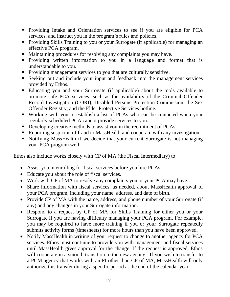- Providing Intake and Orientation services to see if you are eligible for PCA services, and instruct you in the program's rules and policies.
- Providing Skills Training to you or your Surrogate (if applicable) for managing an effective PCA program.
- Maintaining procedures for resolving any complaints you may have.
- Providing written information to you in a language and format that is understandable to you.
- Providing management services to you that are culturally sensitive.
- Seeking out and include your input and feedback into the management services provided by Ethos.
- Educating you and your Surrogate (if applicable) about the tools available to promote safe PCA services, such as the availability of the Criminal Offender Record Investigation (CORI), Disabled Persons Protection Commission, the Sex Offender Registry, and the Elder Protective Services hotline.
- Working with you to establish a list of PCAs who can be contacted when your regularly scheduled PCA cannot provide services to you.
- Developing creative methods to assist you in the recruitment of PCAs.
- Reporting suspicion of fraud to MassHealth and cooperate with any investigation.
- Notifying MassHealth if we decide that your current Surrogate is not managing your PCA program well.

Ethos also include works closely with CP of MA (the Fiscal Intermediary) to:

- Assist you in enrolling for fiscal services before you hire PCAs.
- Educate you about the role of fiscal services.
- Work with CP of MA to resolve any complaints you or your PCA may have.
- Share information with fiscal services, as needed, about MassHealth approval of your PCA program, including your name, address, and date of birth.
- Provide CP of MA with the name, address, and phone number of your Surrogate (if any) and any changes in your Surrogate information.
- Respond to a request by CP of MA for Skills Training for either you or your Surrogate if you are having difficulty managing your PCA program. For example, you may be required to have more training if you or your Surrogate repeatedly submits activity forms (timesheets) for more hours than you have been approved.
- Notify MassHealth in writing of your request to change to another agency for PCA services. Ethos must continue to provide you with management and fiscal services until MassHealth gives approval for the change. If the request is approved, Ethos will cooperate in a smooth transition to the new agency. If you wish to transfer to a PCM agency that works with an FI other than CP of MA, MassHealth will only authorize this transfer during a specific period at the end of the calendar year.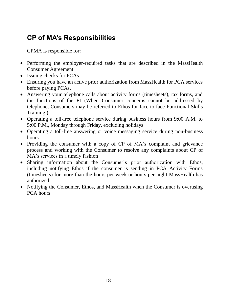# **CP of MA's Responsibilities**

#### CPMA is responsible for:

- Performing the employer-required tasks that are described in the MassHealth Consumer Agreement
- Issuing checks for PCAs
- Ensuring you have an active prior authorization from MassHealth for PCA services before paying PCAs.
- Answering your telephone calls about activity forms (timesheets), tax forms, and the functions of the FI (When Consumer concerns cannot be addressed by telephone, Consumers may be referred to Ethos for face-to-face Functional Skills Training.)
- Operating a toll-free telephone service during business hours from 9:00 A.M. to 5:00 P.M., Monday through Friday, excluding holidays
- Operating a toll-free answering or voice messaging service during non-business hours
- Providing the consumer with a copy of CP of MA's complaint and grievance process and working with the Consumer to resolve any complaints about CP of MA's services in a timely fashion
- Sharing information about the Consumer's prior authorization with Ethos, including notifying Ethos if the consumer is sending in PCA Activity Forms (timesheets) for more than the hours per week or hours per night MassHealth has authorized
- Notifying the Consumer, Ethos, and MassHealth when the Consumer is overusing PCA hours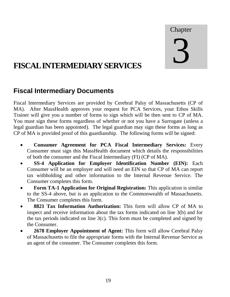# Chapter

# 3

# **FISCAL INTERMEDIARY SERVICES**

# **Fiscal Intermediary Documents**

Fiscal Intermediary Services are provided by Cerebral Palsy of Massachusetts (CP of MA). After MassHealth approves your request for PCA Services, your Ethos Skills Trainer will give you a number of forms to sign which will be then sent to CP of MA. You must sign these forms regardless of whether or not you have a Surrogate (unless a legal guardian has been appointed). The legal guardian may sign these forms as long as CP of MA is provided proof of this guardianship. The following forms will be signed:

- **Consumer Agreement for PCA Fiscal Intermediary Services:** Every Consumer must sign this MassHealth document which details the responsibilities of both the consumer and the Fiscal Intermediary (FI) (CP of MA).
- **SS-4 Application for Employer Identification Number (EIN):** Each Consumer will be an employer and will need an EIN so that CP of MA can report tax withholding and other information to the Internal Revenue Service. The Consumer completes this form.
- **Form TA-1 Application for Original Registration:** This application is similar to the SS-4 above, but is an application to the Commonwealth of Massachusetts. The Consumer completes this form.
- **8821 Tax Information Authorization:** This form will allow CP of MA to inspect and receive information about the tax forms indicated on line 3(b) and for the tax periods indicated on line  $3(c)$ . This form must be completed and signed by the Consumer.
- **2678 Employer Appointment of Agent:** This form will allow Cerebral Palsy of Massachusetts to file the appropriate forms with the Internal Revenue Service as an agent of the consumer. The Consumer completes this form.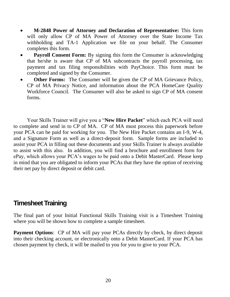- **M-2848 Power of Attorney and Declaration of Representative:** This form will only allow CP of MA Power of Attorney over the State Income Tax withholding and TA-1 Application we file on your behalf. The Consumer completes this form.
- **Payroll Consent Form:** By signing this form the Consumer is acknowledging that he/she is aware that CP of MA subcontracts the payroll processing, tax payment and tax filing responsibilities with PayChoice. This form must be completed and signed by the Consumer.
- **Other Forms:** The Consumer will be given the CP of MA Grievance Policy, CP of MA Privacy Notice, and information about the PCA HomeCare Quality Workforce Council. The Consumer will also be asked to sign CP of MA consent forms.

Your Skills Trainer will give you a "**New Hire Packet**" which each PCA will need to complete and send in to CP of MA. CP of MA must process this paperwork before your PCA can be paid for working for you. The New Hire Packet contains an I-9, W-4, and a Signature Form as well as a direct-deposit form. Sample forms are included to assist your PCA in filling out these documents and your Skills Trainer is always available to assist with this also. In addition, you will find a brochure and enrollment form for ePay, which allows your PCA's wages to be paid onto a Debit MasterCard. Please keep in mind that you are obligated to inform your PCAs that they have the option of receiving their net pay by direct deposit or debit card.

#### **Timesheet Training**

The final part of your Initial Functional Skills Training visit is a Timesheet Training where you will be shown how to complete a sample timesheet.

**Payment Options:** CP of MA will pay your PCAs directly by check, by direct deposit into their checking account, or electronically onto a Debit MasterCard. If your PCA has chosen payment by check, it will be mailed to you for you to give to your PCA.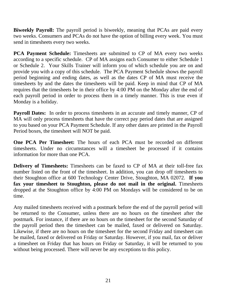**Biweekly Payroll:** The payroll period is biweekly, meaning that PCAs are paid every two weeks. Consumers and PCAs do not have the option of billing every week. You must send in timesheets every two weeks.

**PCA Payment Schedule:** Timesheets are submitted to CP of MA every two weeks according to a specific schedule. CP of MA assigns each Consumer to either Schedule 1 or Schedule 2. Your Skills Trainer will inform you of which schedule you are on and provide you with a copy of this schedule. The PCA Payment Schedule shows the payroll period beginning and ending dates, as well as the dates CP of MA must receive the timesheets by and the dates the timesheets will be paid. Keep in mind that CP of MA requires that the timesheets be in their office by 4:00 PM on the Monday after the end of each payroll period in order to process them in a timely manner. This is true even if Monday is a holiday.

**Payroll Dates:** In order to process timesheets in an accurate and timely manner, CP of MA will only process timesheets that have the correct pay period dates that are assigned to you based on your PCA Payment Schedule. If any other dates are printed in the Payroll Period boxes, the timesheet will NOT be paid.

**One PCA Per Timesheet:** The hours of each PCA must be recorded on different timesheets. Under no circumstances will a timesheet be processed if it contains information for more than one PCA.

**Delivery of Timesheets:** Timesheets can be faxed to CP of MA at their toll-free fax number listed on the front of the timesheet. In addition, you can drop off timesheets to their Stoughton office at 600 Technology Center Drive, Stoughton, MA 02072. **If you fax your timesheet to Stoughton, please do not mail in the original.** Timesheets dropped at the Stoughton office by 4:00 PM on Mondays will be considered to be on time.

Any mailed timesheets received with a postmark before the end of the payroll period will be returned to the Consumer, unless there are no hours on the timesheet after the postmark. For instance, if there are no hours on the timesheet for the second Saturday of the payroll period then the timesheet can be mailed, faxed or delivered on Saturday. Likewise, if there are no hours on the timesheet for the second Friday and timesheet can be mailed, faxed or delivered on Friday or Saturday. However, if you mail, fax or deliver a timesheet on Friday that has hours on Friday or Saturday, it will be returned to you without being processed. There will never be any exceptions to this policy.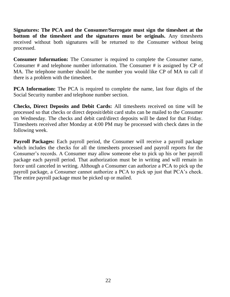**Signatures: The PCA and the Consumer/Surrogate must sign the timesheet at the bottom of the timesheet and the signatures must be originals.** Any timesheets received without both signatures will be returned to the Consumer without being processed.

**Consumer Information:** The Consumer is required to complete the Consumer name, Consumer # and telephone number information. The Consumer # is assigned by CP of MA. The telephone number should be the number you would like CP of MA to call if there is a problem with the timesheet.

**PCA Information:** The PCA is required to complete the name, last four digits of the Social Security number and telephone number section.

**Checks, Direct Deposits and Debit Cards:** All timesheets received on time will be processed so that checks or direct deposit/debit card stubs can be mailed to the Consumer on Wednesday. The checks and debit card/direct deposits will be dated for that Friday. Timesheets received after Monday at 4:00 PM may be processed with check dates in the following week.

**Payroll Packages:** Each payroll period, the Consumer will receive a payroll package which includes the checks for all the timesheets processed and payroll reports for the Consumer's records. A Consumer may allow someone else to pick up his or her payroll package each payroll period. That authorization must be in writing and will remain in force until canceled in writing. Although a Consumer can authorize a PCA to pick up the payroll package, a Consumer cannot authorize a PCA to pick up just that PCA's check. The entire payroll package must be picked up or mailed.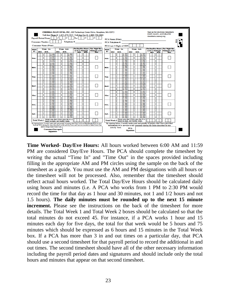

**Time Worked- Day/Eve Hours:** All hours worked between 6:00 AM and 11:59 PM are considered Day/Eve Hours. The PCA should complete the timesheet by writing the actual "Time In" and "Time Out" in the spaces provided including filling in the appropriate AM and PM circles using the sample on the back of the timesheet as a guide. You must use the AM and PM designations with all hours or the timesheet will not be processed. Also, remember that the timesheet should reflect actual hours worked. The Total Day/Eve Hours should be calculated daily using hours and minutes (i.e. A PCA who works from 1 PM to 2:30 PM would record the time for that day as 1 hour and 30 minutes, not 1 and 1/2 hours and not 1.5 hours). **The daily minutes must be rounded up to the next 15 minute increment.** Please see the instructions on the back of the timesheet for more details. The Total Week 1 and Total Week 2 boxes should be calculated so that the total minutes do not exceed 45. For instance, if a PCA works 1 hour and 15 minutes each day for five days, the total for that week would be 5 hours and 75 minutes which should be expressed as 6 hours and 15 minutes in the Total Week box. If a PCA has more than 3 in and out times on a particular day, that PCA should use a second timesheet for that payroll period to record the additional in and out times. The second timesheet should have all of the other necessary information including the payroll period dates and signatures and should include only the total hours and minutes that appear on that second timesheet.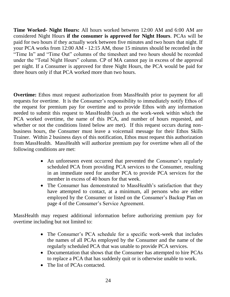**Time Worked- Night Hours:** All hours worked between 12:00 AM and 6:00 AM are considered Night Hours **if the consumer is approved for Night Hours**. PCAs will be paid for two hours if they actually work between five minutes and two hours that night. If your PCA works from 12:00 AM - 12:15 AM, those 15 minutes should be recorded in the "Time In" and "Time Out" columns of the timesheet and two hours should be recorded under the "Total Night Hours" column. CP of MA cannot pay in excess of the approval per night. If a Consumer is approved for three Night Hours, the PCA would be paid for three hours only if that PCA worked more than two hours.

**Overtime:** Ethos must request authorization from MassHealth prior to payment for all requests for overtime. It is the Consumer's responsibility to immediately notify Ethos of the request for premium pay for overtime and to provide Ethos with any information needed to submit this request to MassHealth (such as the work-week within which the PCA worked overtime, the name of this PCA, and number of hours requested, and whether or not the conditions listed below are met). If this request occurs during nonbusiness hours, the Consumer must leave a voicemail message for their Ethos Skills Trainer. Within 2 business days of this notification, Ethos must request this authorization from MassHealth. MassHealth will authorize premium pay for overtime when all of the following conditions are met:

- An unforeseen event occurred that prevented the Consumer's regularly scheduled PCA from providing PCA services to the Consumer, resulting in an immediate need for another PCA to provide PCA services for the member in excess of 40 hours for that week.
- The Consumer has demonstrated to MassHealth's satisfaction that they have attempted to contact, at a minimum, all persons who are either employed by the Consumer or listed on the Consumer's Backup Plan on page 4 of the Consumer's Service Agreement.

MassHealth may request additional information before authorizing premium pay for overtime including but not limited to:

- The Consumer's PCA schedule for a specific work-week that includes the names of all PCAs employed by the Consumer and the name of the regularly scheduled PCA that was unable to provide PCA services.
- Documentation that shows that the Consumer has attempted to hire PCAs to replace a PCA that has suddenly quit or is otherwise unable to work.
- The list of PCAs contacted.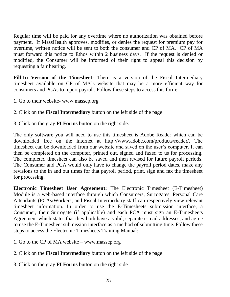Regular time will be paid for any overtime where no authorization was obtained before payment. If MassHealth approves, modifies, or denies the request for premium pay for overtime, written notice will be sent to both the consumer and CP of MA. CP of MA must forward this notice to Ethos within 2 business days. If the request is denied or modified, the Consumer will be informed of their right to appeal this decision by requesting a fair hearing.

**Fill-In Version of the Timesheet:** There is a version of the Fiscal Intermediary timesheet available on CP of MA's website that may be a more efficient way for consumers and PCAs to report payroll. Follow these steps to access this form:

- 1. Go to their website- www.masscp.org
- 2. Click on the **Fiscal Intermediary** button on the left side of the page
- 3. Click on the gray **FI Forms** button on the right side.

The only software you will need to use this timesheet is Adobe Reader which can be downloaded free on the internet at http://www.adobe.com/products/reader/. The timesheet can be downloaded from our website and saved on the user's computer. It can then be completed on the computer, printed out, signed and faxed to us for processing. The completed timesheet can also be saved and then revised for future payroll periods. The Consumer and PCA would only have to change the payroll period dates, make any revisions to the in and out times for that payroll period, print, sign and fax the timesheet for processing.

**Electronic Timesheet User Agreement:** The Electronic Timesheet (E-Timesheet) Module is a web-based interface through which Consumers, Surrogates, Personal Care Attendants (PCAs/Workers, and Fiscal Intermediary staff can respectively view relevant timesheet information. In order to use the E-Timesheets submission interface, a Consumer, their Surrogate (if applicable) and each PCA must sign an E-Timesheets Agreement which states that they both have a valid, separate e-mail addresses, and agree to use the E-Timesheet submission interface as a method of submitting time. Follow these steps to access the Electronic Timesheets Training Manual:

- 1. Go to the CP of MA website www.masscp.org
- 2. Click on the **Fiscal Intermediary** button on the left side of the page
- 3. Click on the gray **FI Forms** button on the right side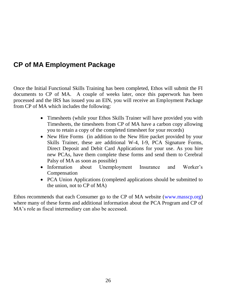## **CP of MA Employment Package**

Once the Initial Functional Skills Training has been completed, Ethos will submit the FI documents to CP of MA. A couple of weeks later, once this paperwork has been processed and the IRS has issued you an EIN, you will receive an Employment Package from CP of MA which includes the following:

- Timesheets (while your Ethos Skills Trainer will have provided you with Timesheets, the timesheets from CP of MA have a carbon copy allowing you to retain a copy of the completed timesheet for your records)
- New Hire Forms (in addition to the New Hire packet provided by your Skills Trainer, these are additional W-4, I-9, PCA Signature Forms, Direct Deposit and Debit Card Applications for your use. As you hire new PCAs, have them complete these forms and send them to Cerebral Palsy of MA as soon as possible)
- Information about Unemployment Insurance and Worker's Compensation
- PCA Union Applications (completed applications should be submitted to the union, not to CP of MA)

Ethos recommends that each Consumer go to the CP of MA website [\(www.masscp.org\)](http://www.masscp.org/) where many of these forms and additional information about the PCA Program and CP of MA's role as fiscal intermediary can also be accessed.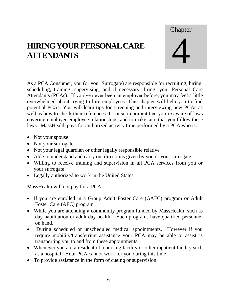# **HIRING YOUR PERSONALCARE ATTENDANTS**

**Chapter** 4

As a PCA Consumer, you (or your Surrogate) are responsible for recruiting, hiring, scheduling, training, supervising, and if necessary, firing, your Personal Care Attendants (PCAs). If you've never been an employer before, you may feel a little overwhelmed about trying to hire employees. This chapter will help you to find potential PCAs. You will learn tips for screening and interviewing new PCAs as well as how to check their references. It's also important that you're aware of laws covering employer-employee relationships, and to make sure that you follow these laws. MassHealth pays for authorized activity time performed by a PCA who is:

- Not your spouse
- Not your surrogate
- Not your legal guardian or other legally responsible relative
- Able to understand and carry out directions given by you or your surrogate
- Willing to receive training and supervision in all PCA services from you or your surrogate
- Legally authorized to work in the United States

MassHealth will not pay for a PCA:

- If you are enrolled in a Group Adult Foster Care (GAFC) program or Adult Foster Care (AFC) program
- While you are attending a community program funded by MassHealth, such as day habilitation or adult day health. Such programs have qualified personnel on hand.
- During scheduled or unscheduled medical appointments. However if you require mobility/transferring assistance your PCA may be able to assist is transporting you to and from these appointments.
- Whenever you are a resident of a nursing facility or other inpatient facility such as a hospital. Your PCA cannot work for you during this time.
- To provide assistance in the form of cueing or supervision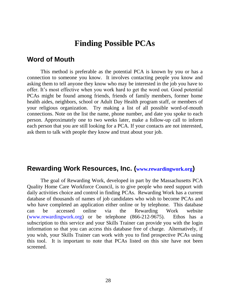## **Finding Possible PCAs**

#### **Word of Mouth**

This method is preferable as the potential PCA is known by you or has a connection to someone you know. It involves contacting people you know and asking them to tell anyone they know who may be interested in the job you have to offer. It's most effective when you work hard to get the word out. Good potential PCAs might be found among friends, friends of family members, former home health aides, neighbors, school or Adult Day Health program staff, or members of your religious organization. Try making a list of all possible word-of-mouth connections. Note on the list the name, phone number, and date you spoke to each person. Approximately one to two weeks later, make a follow-up call to inform each person that you are still looking for a PCA. If your contacts are not interested, ask them to talk with people they know and trust about your job.

#### **Rewarding Work Resources, Inc. ([www.rewardingwork.org](http://www.rewardingwork.org/))**

The goal of Rewarding Work, developed in part by the Massachusetts PCA Quality Home Care Workforce Council, is to give people who need support with daily activities choice and control in finding PCAs. Rewarding Work has a current database of thousands of names of job candidates who wish to become PCAs and who have completed an application either online or by telephone. This database can be accessed online via the Rewarding Work website [\(www.rewardingwork.org\)](http://www.rewardingwork.org/) or be telephone (866-212-9675). Ethos has a subscription to this service and your Skills Trainer can provide you with the login information so that you can access this database free of charge. Alternatively, if you wish, your Skills Trainer can work with you to find prospective PCAs using this tool. It is important to note that PCAs listed on this site have not been screened.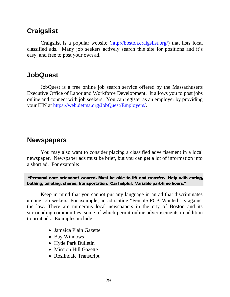### **Craigslist**

Craigslist is a popular website [\(http://boston.craigslist.org/\)](http://boston.craigslist.org/) that lists local classified ads. Many job seekers actively search this site for positions and it's easy, and free to post your own ad.

### **JobQuest**

JobQuest is a free online job search service offered by the Massachusetts Executive Office of Labor and Workforce Development. It allows you to post jobs online and connect with job seekers. You can register as an employer by providing your EIN at [https://web.detma.org/JobQuest/Employers/.](https://web.detma.org/JobQuest/Employers/)

### **Newspapers**

You may also want to consider placing a classified advertisement in a local newspaper. Newspaper ads must be brief, but you can get a lot of information into a short ad. For example:

"Personal care attendant wanted. Must be able to lift and transfer. Help with eating, bathing, toileting, chores, transportation. Car helpful. Variable part-time hours."

Keep in mind that you cannot put any language in an ad that discriminates among job seekers. For example, an ad stating "Female PCA Wanted" is against the law. There are numerous local newspapers in the city of Boston and its surrounding communities, some of which permit online advertisements in addition to print ads. Examples include:

- Jamaica Plain Gazette
- Bay Windows
- Hyde Park Bulletin
- Mission Hill Gazette
- Roslindale Transcript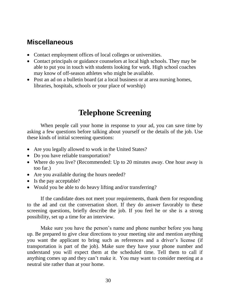### **Miscellaneous**

- Contact employment offices of local colleges or universities.
- Contact principals or guidance counselors at local high schools. They may be able to put you in touch with students looking for work. High school coaches may know of off-season athletes who might be available.
- Post an ad on a bulletin board (at a local business or at area nursing homes, libraries, hospitals, schools or your place of worship)

# **Telephone Screening**

When people call your home in response to your ad, you can save time by asking a few questions before talking about yourself or the details of the job. Use these kinds of initial screening questions:

- Are you legally allowed to work in the United States?
- Do you have reliable transportation?
- Where do you live? (Recommended: Up to 20 minutes away. One hour away is too far.)
- Are you available during the hours needed?
- Is the pay acceptable?
- Would you be able to do heavy lifting and/or transferring?

If the candidate does not meet your requirements, thank them for responding to the ad and cut the conversation short. If they do answer favorably to these screening questions, briefly describe the job. If you feel he or she is a strong possibility, set up a time for an interview.

Make sure you have the person's name and phone number before you hang up. Be prepared to give clear directions to your meeting site and mention anything you want the applicant to bring such as references and a driver's license (if transportation is part of the job). Make sure they have your phone number and understand you will expect them at the scheduled time. Tell them to call if anything comes up and they can't make it. You may want to consider meeting at a neutral site rather than at your home.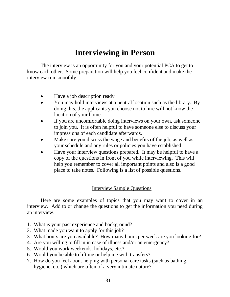# **Interviewing in Person**

The interview is an opportunity for you and your potential PCA to get to know each other. Some preparation will help you feel confident and make the interview run smoothly.

- Have a job description ready
- You may hold interviews at a neutral location such as the library. By doing this, the applicants you choose not to hire will not know the location of your home.
- If you are uncomfortable doing interviews on your own, ask someone to join you. It is often helpful to have someone else to discuss your impressions of each candidate afterwards.
- Make sure you discuss the wage and benefits of the job, as well as your schedule and any rules or policies you have established.
- Have your interview questions prepared. It may be helpful to have a copy of the questions in front of you while interviewing. This will help you remember to cover all important points and also is a good place to take notes. Following is a list of possible questions.

### Interview Sample Questions

Here are some examples of topics that you may want to cover in an interview. Add to or change the questions to get the information you need during an interview.

- 1. What is your past experience and background?
- 2. What made you want to apply for this job?
- 3. What hours are you available? How many hours per week are you looking for?
- 4. Are you willing to fill in in case of illness and/or an emergency?
- 5. Would you work weekends, holidays, etc.?
- 6. Would you be able to lift me or help me with transfers?
- 7. How do you feel about helping with personal care tasks (such as bathing, hygiene, etc.) which are often of a very intimate nature?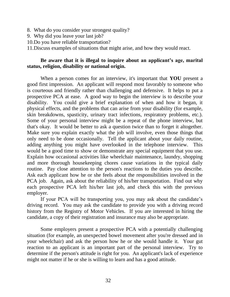- 8. What do you consider your strongest quality?
- 9. Why did you leave your last job?
- 10.Do you have reliable transportation?

11.Discuss examples of situations that might arise, and how they would react.

### **Be aware that it is illegal to inquire about an applicant's age, marital status, religion, disability or national origin.**

When a person comes for an interview, it's important that **YOU** present a good first impression. An applicant will respond most favorably to someone who is courteous and friendly rather than challenging and defensive. It helps to put a prospective PCA at ease. A good way to begin the interview is to describe your disability. You could give a brief explanation of when and how it began, it physical effects, and the problems that can arise from your disability (for example, skin breakdowns, spasticity, urinary tract infections, respiratory problems, etc.). Some of your personal interview might be a repeat of the phone interview, but that's okay. It would be better to ask a question twice than to forget it altogether. Make sure you explain exactly what the job will involve, even those things that only need to be done occasionally. Tell the applicant about your daily routine, adding anything you might have overlooked in the telephone interview. This would be a good time to show or demonstrate any special equipment that you use. Explain how occasional activities like wheelchair maintenance, laundry, shopping and more thorough housekeeping chores cause variations in the typical daily routine. Pay close attention to the person's reactions to the duties you describe. Ask each applicant how he or she feels about the responsibilities involved in the PCA job. Again, ask about the reliability of his/her transportation. Find out why each prospective PCA left his/her last job, and check this with the previous employer.

If your PCA will be transporting you, you may ask about the candidate's driving record. You may ask the candidate to provide you with a driving record history from the Registry of Motor Vehicles. If you are interested in hiring the candidate, a copy of their registration and insurance may also be appropriate.

Some employers present a prospective PCA with a potentially challenging situation (for example, an unexpected bowel movement after you're dressed and in your wheelchair) and ask the person how he or she would handle it. Your gut reaction to an applicant is an important part of the personal interview. Try to determine if the person's attitude is right for you. An applicant's lack of experience might not matter if he or she is willing to learn and has a good attitude.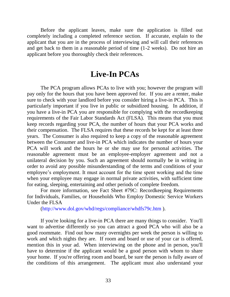Before the applicant leaves, make sure the application is filled out completely including a completed reference section. If accurate, explain to the applicant that you are in the process of interviewing and will call their references and get back to them in a reasonable period of time (1-2 weeks). Do not hire an applicant before you thoroughly check their references.

# **Live-In PCAs**

The PCA program allows PCAs to live with you; however the program will pay only for the hours that you have been approved for. If you are a renter, make sure to check with your landlord before you consider hiring a live-in PCA. This is particularly important if you live in public or subsidized housing. In addition, if you have a live-in PCA you are responsible for complying with the recordkeeping requirements of the Fair Labor Standards Act (FLSA). This means that you must keep records regarding your PCA, the number of hours that your PCA works and their compensation. The FLSA requires that these records be kept for at least three years. The Consumer is also required to keep a copy of the reasonable agreement between the Consumer and live-in PCA which indicates the number of hours your PCA will work and the hours he or she may use for personal activities. The reasonable agreement must be an employee-employer agreement and not a unilateral decision by you. Such an agreement should normally be in writing in order to avoid any possible misunderstanding of the terms and conditions of your employee's employment. It must account for the time spent working and the time when your employee may engage in normal private activities, with sufficient time for eating, sleeping, entertaining and other periods of complete freedom.

For more information, see Fact Sheet #79C: Recordkeeping Requirements for Individuals, Families, or Households Who Employ Domestic Service Workers Under the FLSA

[\(http://www.dol.gov/whd/regs/compliance/whdfs79c.htm](http://www.dol.gov/whd/regs/compliance/whdfs79c.htm) ).

If you're looking for a live-in PCA there are many things to consider. You'll want to advertise differently so you can attract a good PCA who will also be a good roommate. Find out how many overnights per week the person is willing to work and which nights they are. If room and board or use of your car is offered, mention this in your ad. When interviewing on the phone and in person, you'll have to determine if the applicant would be a good person with whom to share your home. If you're offering room and board, be sure the person is fully aware of the conditions of this arrangement. The applicant must also understand your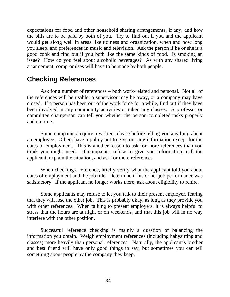expectations for food and other household sharing arrangements, if any, and how the bills are to be paid by both of you. Try to find out if you and the applicant would get along well in areas like tidiness and organization, when and how long you sleep, and preferences in music and television. Ask the person if he or she is a good cook and find out if you both like the same kinds of food. Is smoking an issue? How do you feel about alcoholic beverages? As with any shared living arrangement, compromises will have to be made by both people.

### **Checking References**

Ask for a number of references – both work-related and personal. Not all of the references will be usable; a supervisor may be away, or a company may have closed. If a person has been out of the work force for a while, find out if they have been involved in any community activities or taken any classes. A professor or committee chairperson can tell you whether the person completed tasks properly and on time.

Some companies require a written release before telling you anything about an employee. Others have a policy not to give out any information except for the dates of employment. This is another reason to ask for more references than you think you might need. If companies refuse to give you information, call the applicant, explain the situation, and ask for more references.

When checking a reference, briefly verify what the applicant told you about dates of employment and the job title. Determine if his or her job performance was satisfactory. If the applicant no longer works there, ask about eligibility to rehire.

Some applicants may refuse to let you talk to their present employer, fearing that they will lose the other job. This is probably okay, as long as they provide you with other references. When talking to present employers, it is always helpful to stress that the hours are at night or on weekends, and that this job will in no way interfere with the other position.

Successful reference checking is mainly a question of balancing the information you obtain. Weigh employment references (including babysitting and classes) more heavily than personal references. Naturally, the applicant's brother and best friend will have only good things to say, but sometimes you can tell something about people by the company they keep.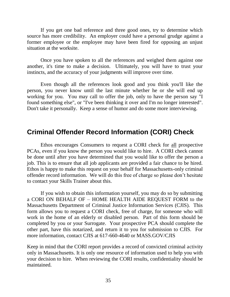If you get one bad reference and three good ones, try to determine which source has more credibility. An employer could have a personal grudge against a former employee or the employee may have been fired for opposing an unjust situation at the worksite.

Once you have spoken to all the references and weighed them against one another, it's time to make a decision. Ultimately, you will have to trust your instincts, and the accuracy of your judgments will improve over time.

Even though all the references look good and you think you'll like the person, you never know until the last minute whether he or she will end up working for you. You may call to offer the job, only to have the person say "I found something else", or "I've been thinking it over and I'm no longer interested". Don't take it personally. Keep a sense of humor and do some more interviewing.

### **Criminal Offender Record Information (CORI) Check**

Ethos encourages Consumers to request a CORI check for all prospective PCAs, even if you know the person you would like to hire. A CORI check cannot be done until after you have determined that you would like to offer the person a job. This is to ensure that all job applicants are provided a fair chance to be hired. Ethos is happy to make this request on your behalf for Massachusetts-only criminal offender record information. We will do this free of charge so please don't hesitate to contact your Skills Trainer about this.

If you wish to obtain this information yourself, you may do so by submitting a CORI ON BEHALF OF – HOME HEALTH AIDE REQUEST FORM to the Massachusetts Department of Criminal Justice Information Services (CJIS). This form allows you to request a CORI check, free of charge, for someone who will work in the home of an elderly or disabled person. Part of this form should be completed by you or your Surrogate. Your prospective PCA should complete the other part, have this notarized, and return it to you for submission to CJIS. For more information, contact CJIS at 617-660-4640 or MASS.GOV/CJIS

Keep in mind that the CORI report provides a record of convicted criminal activity only in Massachusetts. It is only one resource of information used to help you with your decision to hire. When reviewing the CORI results, confidentiality should be maintained.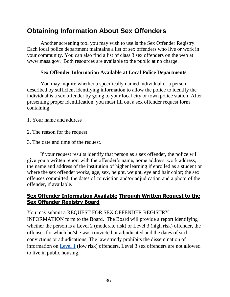# **Obtaining Information About Sex Offenders**

Another screening tool you may wish to use is the Sex Offender Registry. Each local police department maintains a list of sex offenders who live or work in your community. You can also find a list of class 3 sex offenders on the web at [www.mass.gov.](http://www.mass.gov/) Both resources are available to the public at no charge.

### **Sex Offender Information Available at Local Police Departments**

You may inquire whether a specifically named individual or a person described by sufficient identifying information to allow the police to identify the individual is a sex offender by going to your local city or town police station. After presenting proper identification, you must fill out a sex offender request form containing:

- 1. Your name and address
- 2. The reason for the request
- 3. The date and time of the request.

 If your request results identify that person as a sex offender, the police will give you a written report with the offender's name, home address, work address, the name and address of the institution of higher learning if enrolled as a student or where the sex offender works, age, sex, height, weight, eye and hair color; the sex offenses committed, the dates of conviction and/or adjudication and a photo of the offender, if available.

### **Sex Offender Information Available Through Written Request to the Sex Offender Registry Board**

You may submit a REQUEST FOR SEX OFFENDER REGISTRY INFORMATION form to the Board. The Board will provide a report identifying whether the person is a Level 2 (moderate risk) or Level 3 (high risk) offender, the offenses for which he/she was convicted or adjudicated and the dates of such convictions or adjudications. The law strictly prohibits the dissemination of information on [Level 1](http://www.mass.gov/eopss/crime-prev-personal-sfty/sex-offenders/levels-of-sex-offenders.html) (low risk) offenders. Level 3 sex offenders are not allowed to live in public housing.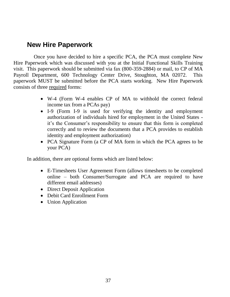### **New Hire Paperwork**

Once you have decided to hire a specific PCA, the PCA must complete New Hire Paperwork which was discussed with you at the Initial Functional Skills Training visit. This paperwork should be submitted via fax (800-359-2884) or mail, to CP of MA Payroll Department, 600 Technology Center Drive, Stoughton, MA 02072. This paperwork MUST be submitted before the PCA starts working. New Hire Paperwork consists of three required forms:

- W-4 (Form W-4 enables CP of MA to withhold the correct federal income tax from a PCAs pay)
- I-9 (Form I-9 is used for verifying the identity and employment authorization of individuals hired for employment in the United States it's the Consumer's responsibility to ensure that this form is completed correctly and to review the documents that a PCA provides to establish identity and employment authorization)
- PCA Signature Form (a CP of MA form in which the PCA agrees to be your PCA)

In addition, there are optional forms which are listed below:

- E-Timesheets User Agreement Form (allows timesheets to be completed online – both Consumer/Surrogate and PCA are required to have different email addresses)
- Direct Deposit Application
- Debit Card Enrollment Form
- Union Application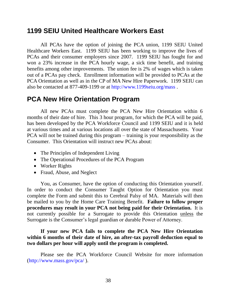### **1199 SEIU United Healthcare Workers East**

All PCAs have the option of joining the PCA union, 1199 SEIU United Healthcare Workers East. 1199 SEIU has been working to improve the lives of PCAs and their consumer employers since 2007. 1199 SEIU has fought for and won a 23% increase in the PCA hourly wage, a sick time benefit, and training benefits among other improvements. The union fee is 2% of wages which is taken out of a PCAs pay check. Enrollment information will be provided to PCAs at the PCA Orientation as well as in the CP of MA New Hire Paperwork. 1199 SEIU can also be contacted at 877-409-1199 or at<http://www.1199seiu.org/mass> .

### **PCA New Hire Orientation Program**

All new PCAs must complete the PCA New Hire Orientation within 6 months of their date of hire. This 3 hour program, for which the PCA will be paid, has been developed by the PCA Workforce Council and 1199 SEIU and it is held at various times and at various locations all over the state of Massachusetts. Your PCA will not be trained during this program – training is your responsibility as the Consumer. This Orientation will instruct new PCAs about:

- The Principles of Independent Living
- The Operational Procedures of the PCA Program
- Worker Rights
- Fraud, Abuse, and Neglect

You, as Consumer, have the option of conducting this Orientation yourself. In order to conduct the Consumer Taught Option for Orientation you must complete the Form and submit this to Cerebral Palsy of MA. Materials will then be mailed to you by the Home Care Training Benefit. **Failure to follow proper procedures may result in your PCA not being paid for their Orientation.** It is not currently possible for a Surrogate to provide this Orientation unless the Surrogate is the Consumer's legal guardian or durable Power of Attorney.

### **If your new PCA fails to complete the PCA New Hire Orientation within 6 months of their date of hire, an after-tax payroll deduction equal to two dollars per hour will apply until the program is completed.**

Please see the PCA Workforce Council Website for more information [\(http://www.mass.gov/pca/](http://www.mass.gov/pca/) ).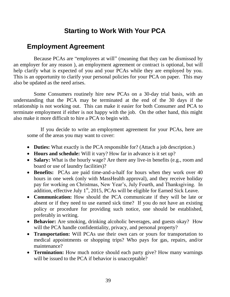# **Starting to Work With Your PCA**

### **Employment Agreement**

Because PCAs are "employees at will" (meaning that they can be dismissed by an employer for any reason ), an employment agreement or contract is optional, but will help clarify what is expected of you and your PCAs while they are employed by you. This is an opportunity to clarify your personal policies for your PCA on paper. This may also be updated as the need arises.

Some Consumers routinely hire new PCAs on a 30-day trial basis, with an understanding that the PCA may be terminated at the end of the 30 days if the relationship is not working out. This can make it easier for both Consumer and PCA to terminate employment if either is not happy with the job. On the other hand, this might also make it more difficult to hire a PCA to begin with.

If you decide to write an employment agreement for your PCAs, here are some of the areas you may want to cover:

- **Duties:** What exactly is the PCA responsible for? (Attach a job description.)
- **Hours and schedule:** Will it vary? How far in advance is it set up?
- Salary: What is the hourly wage? Are there any live-in benefits (e.g., room and board or use of laundry facilities)?
- **Benefits:** PCAs are paid time-and-a-half for hours when they work over 40 hours in one week (only with MassHealth approval), and they receive holiday pay for working on Christmas, New Year's, July Fourth, and Thanksgiving. In addition, effective July  $1<sup>st</sup>$ , 2015, PCAs will be eligible for Earned Sick Leave.
- **Communication:** How should the PCA communicate if they will be late or absent or if they need to use earned sick time? If you do not have an existing policy or procedure for providing such notice, one should be established, preferably in writing.
- **Behavior:** Are smoking, drinking alcoholic beverages, and guests okay? How will the PCA handle confidentiality, privacy, and personal property?
- **Transportation:** Will PCAs use their own cars or yours for transportation to medical appointments or shopping trips? Who pays for gas, repairs, and/or maintenance?
- **Termination:** How much notice should each party give? How many warnings will be issued to the PCA if behavior is unacceptable?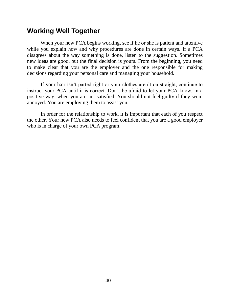### **Working Well Together**

When your new PCA begins working, see if he or she is patient and attentive while you explain how and why procedures are done in certain ways. If a PCA disagrees about the way something is done, listen to the suggestion. Sometimes new ideas are good, but the final decision is yours. From the beginning, you need to make clear that you are the employer and the one responsible for making decisions regarding your personal care and managing your household.

If your hair isn't parted right or your clothes aren't on straight, continue to instruct your PCA until it is correct. Don't be afraid to let your PCA know, in a positive way, when you are not satisfied. You should not feel guilty if they seem annoyed. You are employing them to assist you.

In order for the relationship to work, it is important that each of you respect the other. Your new PCA also needs to feel confident that you are a good employer who is in charge of your own PCA program.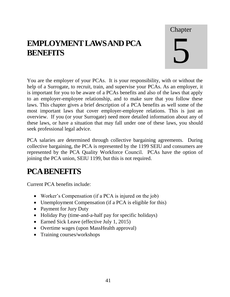# **EMPLOYMENT LAWS AND PCA BENEFITS**

# Chapter 5

You are the employer of your PCAs. It is your responsibility, with or without the help of a Surrogate, to recruit, train, and supervise your PCAs. As an employer, it is important for you to be aware of a PCAs benefits and also of the laws that apply to an employer-employee relationship, and to make sure that you follow these laws. This chapter gives a brief description of a PCA benefits as well some of the most important laws that cover employer-employee relations. This is just an overview. If you (or your Surrogate) need more detailed information about any of these laws, or have a situation that may fall under one of these laws, you should seek professional legal advice.

PCA salaries are determined through collective bargaining agreements. During collective bargaining, the PCA is represented by the 1199 SEIU and consumers are represented by the PCA Quality Workforce Council. PCAs have the option of joining the PCA union, SEIU 1199, but this is not required.

# **PCA BENEFITS**

Current PCA benefits include:

- Worker's Compensation (if a PCA is injured on the job)
- Unemployment Compensation (if a PCA is eligible for this)
- Payment for Jury Duty
- Holiday Pay (time-and-a-half pay for specific holidays)
- Earned Sick Leave (effective July 1, 2015)
- Overtime wages (upon MassHealth approval)
- Training courses/workshops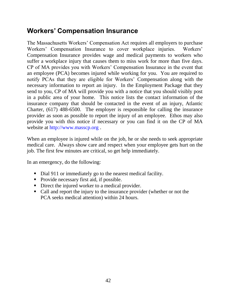### **Workers' Compensation Insurance**

The Massachusetts Workers' Compensation Act requires all employers to purchase Workers' Compensation Insurance to cover workplace injuries. Workers' Compensation Insurance provides wage and medical payments to workers who suffer a workplace injury that causes them to miss work for more than five days. CP of MA provides you with Workers' Compensation Insurance in the event that an employee (PCA) becomes injured while working for you. You are required to notify PCAs that they are eligible for Workers' Compensation along with the necessary information to report an injury. In the Employment Package that they send to you, CP of MA will provide you with a notice that you should visibly post in a public area of your home. This notice lists the contact information of the insurance company that should be contacted in the event of an injury, Atlantic Charter, (617) 488-6500. The employer is responsible for calling the insurance provider as soon as possible to report the injury of an employee. Ethos may also provide you with this notice if necessary or you can find it on the CP of MA website at [http://www.masscp.org](http://www.masscp.org/) .

When an employee is injured while on the job, he or she needs to seek appropriate medical care. Always show care and respect when your employee gets hurt on the job. The first few minutes are critical, so get help immediately.

In an emergency, do the following:

- Dial 911 or immediately go to the nearest medical facility.
- Provide necessary first aid, if possible.
- Direct the injured worker to a medical provider.
- Call and report the injury to the insurance provider (whether or not the PCA seeks medical attention) within 24 hours.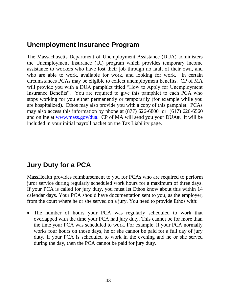### **Unemployment Insurance Program**

The Massachusetts Department of Unemployment Assistance (DUA) administers the Unemployment Insurance (UI) program which provides temporary income assistance to workers who have lost their job through no fault of their own, and who are able to work, available for work, and looking for work. In certain circumstances PCAs may be eligible to collect unemployment benefits. CP of MA will provide you with a DUA pamphlet titled "How to Apply for Unemployment" Insurance Benefits". You are required to give this pamphlet to each PCA who stops working for you either permanently or temporarily (for example while you are hospitalized). Ethos may also provide you with a copy of this pamphlet. PCAs may also access this information by phone at (877) 626-6800 or (617) 626-6560 and online at [www.mass.gov/dua.](http://www.mass.gov/dua) CP of MA will send you your DUA#. It will be included in your initial payroll packet on the Tax Liability page.

## **Jury Duty for a PCA**

MassHealth provides reimbursement to you for PCAs who are required to perform juror service during regularly scheduled work hours for a maximum of three days. If your PCA is called for jury duty, you must let Ethos know about this within 14 calendar days. Your PCA should have documentation sent to you, as the employer, from the court where he or she served on a jury. You need to provide Ethos with:

 The number of hours your PCA was regularly scheduled to work that overlapped with the time your PCA had jury duty. This cannot be for more than the time your PCA was scheduled to work. For example, if your PCA normally works four hours on those days, he or she cannot be paid for a full day of jury duty. If your PCA is scheduled to work in the evening and he or she served during the day, then the PCA cannot be paid for jury duty.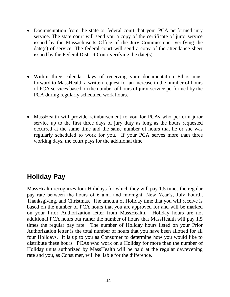- Documentation from the state or federal court that your PCA performed jury service. The state court will send you a copy of the certificate of juror service issued by the Massachusetts Office of the Jury Commissioner verifying the date(s) of service. The federal court will send a copy of the attendance sheet issued by the Federal District Court verifying the date(s).
- Within three calendar days of receiving your documentation Ethos must forward to MassHealth a written request for an increase in the number of hours of PCA services based on the number of hours of juror service performed by the PCA during regularly scheduled work hours.
- MassHealth will provide reimbursement to you for PCAs who perform juror service up to the first three days of jury duty as long as the hours requested occurred at the same time and the same number of hours that he or she was regularly scheduled to work for you. If your PCA serves more than three working days, the court pays for the additional time.

## **Holiday Pay**

MassHealth recognizes four Holidays for which they will pay 1.5 times the regular pay rate between the hours of 6 a.m. and midnight: New Year's, July Fourth, Thanksgiving, and Christmas. The amount of Holiday time that you will receive is based on the number of PCA hours that you are approved for and will be marked on your Prior Authorization letter from MassHealth. Holiday hours are not additional PCA hours but rather the number of hours that MassHealth will pay 1.5 times the regular pay rate. The number of Holiday hours listed on your Prior Authorization letter is the total number of hours that you have been allotted for all four Holidays. It is up to you as Consumer to determine how you would like to distribute these hours. PCAs who work on a Holiday for more than the number of Holiday units authorized by MassHealth will be paid at the regular day/evening rate and you, as Consumer, will be liable for the difference.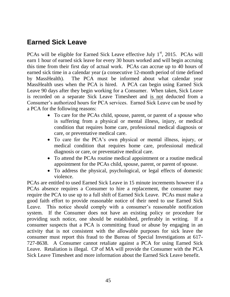# **Earned Sick Leave**

PCAs will be eligible for Earned Sick Leave effective July  $1<sup>st</sup>$ , 2015. PCAs will earn 1 hour of earned sick leave for every 30 hours worked and will begin accruing this time from their first day of actual work. PCAs can accrue up to 40 hours of earned sick time in a calendar year (a consecutive 12-month period of time defined by MassHealth). The PCA must be informed about what calendar year MassHealth uses when the PCA is hired. A PCA can begin using Earned Sick Leave 90 days after they begin working for a Consumer. When taken, Sick Leave is recorded on a separate Sick Leave Timesheet and is not deducted from a Consumer's authorized hours for PCA services. Earned Sick Leave can be used by a PCA for the following reasons:

- To care for the PCAs child, spouse, parent, or parent of a spouse who is suffering from a physical or mental illness, injury, or medical condition that requires home care, professional medical diagnosis or care, or preventative medical care.
- To care for the PCA's own physical or mental illness, injury, or medical condition that requires home care, professional medical diagnosis or care, or preventative medical care.
- To attend the PCAs routine medical appointment or a routine medical appointment for the PCAs child, spouse, parent, or parent of spouse.
- To address the physical, psychological, or legal effects of domestic violence.

PCAs are entitled to used Earned Sick Leave in 15 minute increments however if a PCAs absence requires a Consumer to hire a replacement, the consumer may require the PCA to use up to a full shift of Earned Sick Leave. PCAs must make a good faith effort to provide reasonable notice of their need to use Earned Sick Leave. This notice should comply with a consumer's reasonable notification system. If the Consumer does not have an existing policy or procedure for providing such notice, one should be established, preferably in writing. If a consumer suspects that a PCA is committing fraud or abuse by engaging in an activity that is not consistent with the allowable purposes for sick leave the consumer must report this fraud to the Bureau of Special Investigations at 617- 727-8638. A Consumer cannot retaliate against a PCA for using Earned Sick Leave. Retaliation is illegal. CP of MA will provide the Consumer with the PCA Sick Leave Timesheet and more information about the Earned Sick Leave benefit.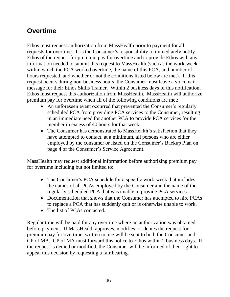# **Overtime**

Ethos must request authorization from MassHealth prior to payment for all requests for overtime. It is the Consumer's responsibility to immediately notify Ethos of the request for premium pay for overtime and to provide Ethos with any information needed to submit this request to MassHealth (such as the work-week within which the PCA worked overtime, the name of this PCA, and number of hours requested, and whether or not the conditions listed below are met). If this request occurs during non-business hours, the Consumer must leave a voicemail message for their Ethos Skills Trainer. Within 2 business days of this notification, Ethos must request this authorization from MassHealth. MassHealth will authorize premium pay for overtime when all of the following conditions are met:

- An unforeseen event occurred that prevented the Consumer's regularly scheduled PCA from providing PCA services to the Consumer, resulting in an immediate need for another PCA to provide PCA services for the member in excess of 40 hours for that week.
- The Consumer has demonstrated to MassHealth's satisfaction that they have attempted to contact, at a minimum, all persons who are either employed by the consumer or listed on the Consumer's Backup Plan on page 4 of the Consumer's Service Agreement.

MassHealth may request additional information before authorizing premium pay for overtime including but not limited to:

- The Consumer's PCA schedule for a specific work-week that includes the names of all PCAs employed by the Consumer and the name of the regularly scheduled PCA that was unable to provide PCA services.
- Documentation that shows that the Consumer has attempted to hire PCAs to replace a PCA that has suddenly quit or is otherwise unable to work.
- The list of PCAs contacted.

Regular time will be paid for any overtime where no authorization was obtained before payment. If MassHealth approves, modifies, or denies the request for premium pay for overtime, written notice will be sent to both the Consumer and CP of MA. CP of MA must forward this notice to Ethos within 2 business days. If the request is denied or modified, the Consumer will be informed of their right to appeal this decision by requesting a fair hearing.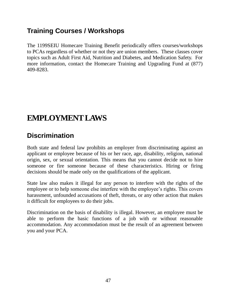# **Training Courses / Workshops**

The 1199SEIU Homecare Training Benefit periodically offers courses/workshops to PCAs regardless of whether or not they are union members. These classes cover topics such as Adult First Aid, Nutrition and Diabetes, and Medication Safety. For more information, contact the Homecare Training and Upgrading Fund at (877) 409-8283.

# **EMPLOYMENT LAWS**

# **Discrimination**

Both state and federal law prohibits an employer from discriminating against an applicant or employee because of his or her race, age, disability, religion, national origin, sex, or sexual orientation. This means that you cannot decide not to hire someone or fire someone because of these characteristics. Hiring or firing decisions should be made only on the qualifications of the applicant.

State law also makes it illegal for any person to interfere with the rights of the employee or to help someone else interfere with the employee's rights. This covers harassment, unfounded accusations of theft, threats, or any other action that makes it difficult for employees to do their jobs.

Discrimination on the basis of disability is illegal. However, an employee must be able to perform the basic functions of a job with or without reasonable accommodation. Any accommodation must be the result of an agreement between you and your PCA.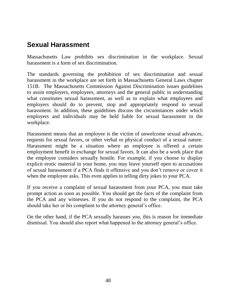### **Sexual Harassment**

Massachusetts Law prohibits sex discrimination in the workplace. Sexual harassment is a form of sex discrimination.

The standards governing the prohibition of sex discrimination and sexual harassment in the workplace are set forth in Massachusetts General Laws chapter 151B. The Massachusetts Commission Against Discrimination issues guidelines to assist employers, employees, attorneys and the general public in understanding what constitutes sexual harassment, as well as to explain what employees and employers should do to prevent, stop and appropriately respond to sexual harassment. In addition, these guidelines discuss the circumstances under which employers and individuals may be held liable for sexual harassment in the workplace.

Harassment means that an employee is the victim of unwelcome sexual advances, requests for sexual favors, or other verbal or physical conduct of a sexual nature. Harassment might be a situation where an employee is offered a certain employment benefit in exchange for sexual favors. It can also be a work place that the employee considers sexually hostile. For example, if you choose to display explicit erotic material in your home, you may leave yourself open to accusations of sexual harassment if a PCA finds it offensive and you don't remove or cover it when the employee asks. This even applies to telling dirty jokes to your PCA.

If you receive a complaint of sexual harassment from your PCA, you must take prompt action as soon as possible. You should get the facts of the complaint from the PCA and any witnesses. If you do not respond to the complaint, the PCA should take her or his complaint to the attorney general's office.

On the other hand, if the PCA sexually harasses *you*, this is reason for immediate dismissal. You should also report what happened to the attorney general's office.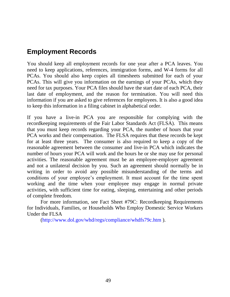### **Employment Records**

You should keep all employment records for one year after a PCA leaves. You need to keep applications, references, immigration forms, and W-4 forms for all PCAs. You should also keep copies all timesheets submitted for each of your PCAs. This will give you information on the earnings of your PCAs, which they need for tax purposes. Your PCA files should have the start date of each PCA, their last date of employment, and the reason for termination. You will need this information if you are asked to give references for employees. It is also a good idea to keep this information in a filing cabinet in alphabetical order.

If you have a live-in PCA you are responsible for complying with the recordkeeping requirements of the Fair Labor Standards Act (FLSA). This means that you must keep records regarding your PCA, the number of hours that your PCA works and their compensation. The FLSA requires that these records be kept for at least three years. The consumer is also required to keep a copy of the reasonable agreement between the consumer and live-in PCA which indicates the number of hours your PCA will work and the hours he or she may use for personal activities. The reasonable agreement must be an employee-employer agreement and not a unilateral decision by you. Such an agreement should normally be in writing in order to avoid any possible misunderstanding of the terms and conditions of your employee's employment. It must account for the time spent working and the time when your employee may engage in normal private activities, with sufficient time for eating, sleeping, entertaining and other periods of complete freedom.

For more information, see Fact Sheet #79C: Recordkeeping Requirements for Individuals, Families, or Households Who Employ Domestic Service Workers Under the FLSA

[\(http://www.dol.gov/whd/regs/compliance/whdfs79c.htm](http://www.dol.gov/whd/regs/compliance/whdfs79c.htm) ).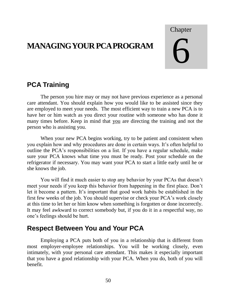# **MANAGING YOUR PCA PROGRAM**

Chapter

# 6

# **PCA Training**

The person you hire may or may not have previous experience as a personal care attendant. You should explain how you would like to be assisted since they are employed to meet your needs. The most efficient way to train a new PCA is to have her or him watch as you direct your routine with someone who has done it many times before. Keep in mind that you are directing the training and not the person who is assisting you.

When your new PCA begins working, try to be patient and consistent when you explain how and why procedures are done in certain ways. It's often helpful to outline the PCA's responsibilities on a list. If you have a regular schedule, make sure your PCA knows what time you must be ready. Post your schedule on the refrigerator if necessary. You may want your PCA to start a little early until he or she knows the job.

You will find it much easier to stop any behavior by your PCAs that doesn't meet your needs if you keep this behavior from happening in the first place. Don't let it become a pattern. It's important that good work habits be established in the first few weeks of the job. You should supervise or check your PCA's work closely at this time to let her or him know when something is forgotten or done incorrectly. It may feel awkward to correct somebody but, if you do it in a respectful way, no one's feelings should be hurt.

### **Respect Between You and Your PCA**

Employing a PCA puts both of you in a relationship that is different from most employer-employee relationships. You will be working closely, even intimately, with your personal care attendant. This makes it especially important that you have a good relationship with your PCA. When you do, both of you will benefit.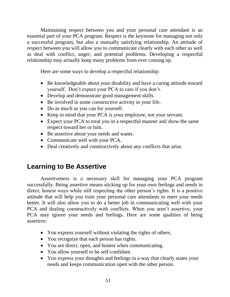Maintaining respect between you and your personal care attendant is an essential part of your PCA program. Respect is the keystone for managing not only a successful program, but also a mutually satisfying relationship. An attitude of respect between you will allow you to communicate clearly with each other as well as deal with conflict, anger, and potential problems. Developing a respectful relationship may actually keep many problems from ever coming up.

Here are some ways to develop a respectful relationship:

- Be knowledgeable about your disability and have a caring attitude toward yourself. Don't expect your PCA to care if you don't.
- Develop and demonstrate good management skills.
- Be involved in some constructive activity in your life.
- Do as much as you can for yourself.
- Keep in mind that your PCA is your employee, not your servant.
- Expect your PCA to treat you in a respectful manner and show the same respect toward her or him.
- Be assertive about your needs and wants.
- Communicate well with your PCA.
- Deal creatively and constructively about any conflicts that arise.

## **Learning to Be Assertive**

Assertiveness is a necessary skill for managing your PCA program successfully. Being assertive means sticking up for your own feelings and needs in direct, honest ways while still respecting the other person's rights. It is a positive attitude that will help you train your personal care attendants to meet your needs better. It will also allow you to do a better job in communicating well with your PCA and dealing constructively with conflicts. When you aren't assertive, your PCA may ignore your needs and feelings. Here are some qualities of being assertive:

- You express yourself without violating the rights of others.
- You recognize that each person has rights.
- You are direct, open, and honest when communicating.
- You allow yourself to be self-confidant.
- You express your thoughts and feelings in a way that clearly states your needs and keeps communication open with the other person.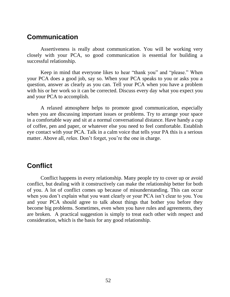### **Communication**

Assertiveness is really about communication. You will be working very closely with your PCA, so good communication is essential for building a successful relationship.

Keep in mind that everyone likes to hear "thank you" and "please." When your PCA does a good job, say so. When your PCA speaks to you or asks you a question, answer as clearly as you can. Tell your PCA when you have a problem with his or her work so it can be corrected. Discuss every day what you expect you and your PCA to accomplish.

A relaxed atmosphere helps to promote good communication, especially when you are discussing important issues or problems. Try to arrange your space in a comfortable way and sit at a normal conversational distance. Have handy a cup of coffee, pen and paper, or whatever else you need to feel comfortable. Establish eye contact with your PCA. Talk in a calm voice that tells your PA this is a serious matter. Above all, *relax*. Don't forget, you're the one in charge.

### **Conflict**

Conflict happens in every relationship. Many people try to cover up or avoid conflict, but dealing with it constructively can make the relationship better for both of you. A lot of conflict comes up because of misunderstanding. This can occur when you don't explain what you want clearly or your PCA isn't clear to you. You and your PCA should agree to talk about things that bother you before they become big problems. Sometimes, even when you have rules and agreements, they are broken. A practical suggestion is simply to treat each other with respect and consideration, which is the basis for any good relationship.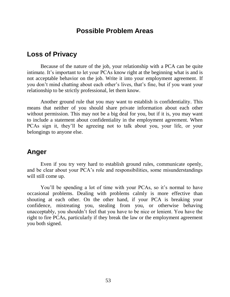### **Possible Problem Areas**

### **Loss of Privacy**

Because of the nature of the job, your relationship with a PCA can be quite intimate. It's important to let your PCAs know right at the beginning what is and is not acceptable behavior on the job. Write it into your employment agreement. If you don't mind chatting about each other's lives, that's fine, but if you want your relationship to be strictly professional, let them know.

Another ground rule that you may want to establish is confidentiality. This means that neither of you should share private information about each other without permission. This may not be a big deal for you, but if it is, you may want to include a statement about confidentiality in the employment agreement. When PCAs sign it, they'll be agreeing not to talk about you, your life, or your belongings to anyone else.

### **Anger**

Even if you try very hard to establish ground rules, communicate openly, and be clear about your PCA's role and responsibilities, some misunderstandings will still come up.

You'll be spending a lot of time with your PCAs, so it's normal to have occasional problems. Dealing with problems calmly is more effective than shouting at each other. On the other hand, if your PCA is breaking your confidence, mistreating you, stealing from you, or otherwise behaving unacceptably, you shouldn't feel that you have to be nice or lenient. You have the right to fire PCAs, particularly if they break the law or the employment agreement you both signed.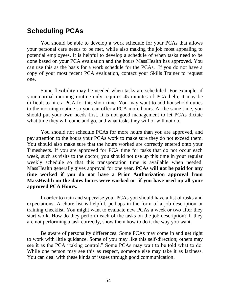### **Scheduling PCAs**

You should be able to develop a work schedule for your PCAs that allows your personal care needs to be met, while also making the job most appealing to potential employees. It is helpful to develop a schedule of when tasks need to be done based on your PCA evaluation and the hours MassHealth has approved. You can use this as the basis for a work schedule for the PCAs. If you do not have a copy of your most recent PCA evaluation, contact your Skills Trainer to request one.

Some flexibility may be needed when tasks are scheduled. For example, if your normal morning routine only requires 45 minutes of PCA help, it may be difficult to hire a PCA for this short time. You may want to add household duties to the morning routine so you can offer a PCA more hours. At the same time, you should put your own needs first. It is not good management to let PCAs dictate what time they will come and go, and what tasks they will or will not do.

You should not schedule PCAs for more hours than you are approved, and pay attention to the hours your PCAs work to make sure they do not exceed them. You should also make sure that the hours worked are correctly entered onto your Timesheets. If you are approved for PCA time for tasks that do not occur each week, such as visits to the doctor, you should not use up this time in your regular weekly schedule so that this transportation time is available when needed. MassHealth generally gives approval for one year. **PCAs will not be paid for any time worked if you do not have a Prior Authorization approval from MassHealth on the dates hours were worked or if you have used up all your approved PCA Hours.** 

In order to train and supervise your PCAs you should have a list of tasks and expectations. A chore list is helpful, perhaps in the form of a job description or training checklist. You might want to evaluate new PCAs a week or two after they start work. How do they perform each of the tasks on the job description? If they are not performing a task correctly, show them how to do it the way you want.

Be aware of personality differences. Some PCAs may come in and get right to work with little guidance. Some of you may like this self-direction; others may see it as the PCA "taking control." Some PCAs may wait to be told what to do. While one person may see this as respect, someone else may take it as laziness. You can deal with these kinds of issues through good communication.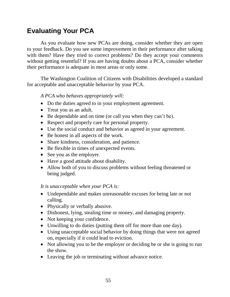# **Evaluating Your PCA**

As you evaluate how new PCAs are doing, consider whether they are open to your feedback. Do you see some improvement in their performance after talking with them? Have they tried to correct problems? Do they accept your comments without getting resentful? If you are having doubts about a PCA, consider whether their performance is adequate in most areas or only some.

The Washington Coalition of Citizens with Disabilities developed a standard for acceptable and unacceptable behavior by your PCA.

*A PCA who behaves appropriately will:*

- Do the duties agreed to in your employment agreement.
- Treat you as an adult.
- Be dependable and on time (or call you when they can't be).
- Respect and properly care for personal property.
- Use the social conduct and behavior as agreed in your agreement.
- Be honest in all aspects of the work.
- Share kindness, consideration, and patience.
- Be flexible in times of unexpected events.
- See you as the employer.
- Have a good attitude about disability.
- Allow both of you to discuss problems without feeling threatened or being judged.

*It is unacceptable when your PCA is:*

- Undependable and makes unreasonable excuses for being late or not calling.
- Physically or verbally abusive.
- Dishonest, lying, stealing time or money, and damaging property.
- Not keeping your confidence.
- Unwilling to do duties (putting them off for more than one day).
- Using unacceptable social behavior by doing things that were not agreed on, especially if it could lead to eviction.
- Not allowing you to be the employer or deciding he or she is going to run the show.
- Leaving the job or terminating without advance notice.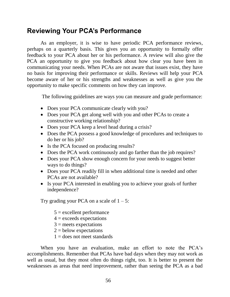### **Reviewing Your PCA's Performance**

As an employer, it is wise to have periodic PCA performance reviews, perhaps on a quarterly basis. This gives you an opportunity to formally offer feedback to your PCA about her or his performance. A review will also give the PCA an opportunity to give you feedback about how clear you have been in communicating your needs. When PCAs are not aware that issues exist, they have no basis for improving their performance or skills. Reviews will help your PCA become aware of her or his strengths and weaknesses as well as give you the opportunity to make specific comments on how they can improve.

The following guidelines are ways you can measure and grade performance:

- Does your PCA communicate clearly with you?
- Does your PCA get along well with you and other PCAs to create a constructive working relationship?
- Does your PCA keep a level head during a crisis?
- Does the PCA possess a good knowledge of procedures and techniques to do her or his job?
- Is the PCA focused on producing results?
- Does the PCA work continuously and go farther than the job requires?
- Does your PCA show enough concern for your needs to suggest better ways to do things?
- Does your PCA readily fill in when additional time is needed and other PCAs are not available?
- Is your PCA interested in enabling you to achieve your goals of further independence?

Try grading your PCA on a scale of  $1 - 5$ :

- $5 =$  excellent performance
- $4 =$  exceeds expectations
- $3$  = meets expectations
- $2 =$  below expectations
- $1 =$  does not meet standards

When you have an evaluation, make an effort to note the PCA's accomplishments. Remember that PCAs have bad days when they may not work as well as usual, but they most often do things right, too. It is better to present the weaknesses as areas that need improvement, rather than seeing the PCA as a bad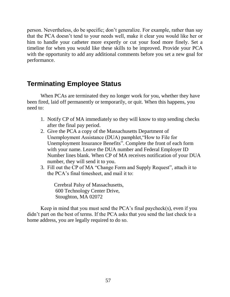person. Nevertheless, do be specific; don't generalize. For example, rather than say that the PCA doesn't tend to your needs well, make it clear you would like her or him to handle your catheter more expertly or cut your food more finely. Set a timeline for when you would like these skills to be improved. Provide your PCA with the opportunity to add any additional comments before you set a new goal for performance.

## **Terminating Employee Status**

When PCAs are terminated they no longer work for you, whether they have been fired, laid off permanently or temporarily, or quit. When this happens, you need to:

- 1. Notify CP of MA immediately so they will know to stop sending checks after the final pay period.
- 2. Give the PCA a copy of the Massachusetts Department of Unemployment Assistance (DUA) pamphlet,"How to File for Unemployment Insurance Benefits". Complete the front of each form with your name. Leave the DUA number and Federal Employer ID Number lines blank. When CP of MA receives notification of your DUA number, they will send it to you.
- 3. Fill out the CP of MA "Change Form and Supply Request", attach it to the PCA's final timesheet, and mail it to:

Cerebral Palsy of Massachusetts, 600 Technology Center Drive, Stoughton, MA 02072

Keep in mind that you must send the PCA's final paycheck(s), even if you didn't part on the best of terms. If the PCA asks that you send the last check to a home address, you are legally required to do so.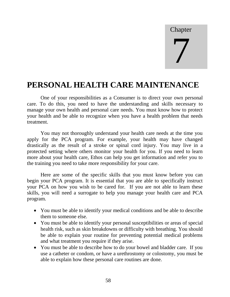### **Chapter**

# 7

# **PERSONAL HEALTH CARE MAINTENANCE**

One of your responsibilities as a Consumer is to direct your own personal care. To do this, you need to have the understanding and skills necessary to manage your own health and personal care needs. You must know how to protect your health and be able to recognize when you have a health problem that needs treatment.

You may not thoroughly understand your health care needs at the time you apply for the PCA program. For example, your health may have changed drastically as the result of a stroke or spinal cord injury. You may live in a protected setting where others monitor your health for you. If you need to learn more about your health care, Ethos can help you get information and refer you to the training you need to take more responsibility for your care.

Here are some of the specific skills that you must know before you can begin your PCA program. It is essential that you are able to specifically instruct your PCA on how you wish to be cared for. If you are not able to learn these skills, you will need a surrogate to help you manage your health care and PCA program.

- You must be able to identify your medical conditions and be able to describe them to someone else.
- You must be able to identify your personal susceptibilities or areas of special health risk, such as skin breakdowns or difficulty with breathing. You should be able to explain your routine for preventing potential medical problems and what treatment you require if they arise.
- You must be able to describe how to do your bowel and bladder care. If you use a catheter or condom, or have a urethrostomy or colostomy, you must be able to explain how these personal care routines are done.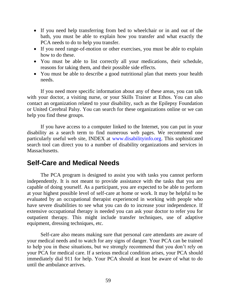- If you need help transferring from bed to wheelchair or in and out of the bath, you must be able to explain how you transfer and what exactly the PCA needs to do to help you transfer.
- If you need range-of-motion or other exercises, you must be able to explain how to do these.
- You must be able to list correctly all your medications, their schedule, reasons for taking them, and their possible side effects.
- You must be able to describe a good nutritional plan that meets your health needs.

If you need more specific information about any of these areas, you can talk with your doctor, a visiting nurse, or your Skills Trainer at Ethos. You can also contact an organization related to your disability, such as the Epilepsy Foundation or United Cerebral Palsy. You can search for these organizations online or we can help you find these groups.

If you have access to a computer linked to the Internet, you can put in your disability as a search term to find numerous web pages. We recommend one particularly useful web site, INDEX at [www.disabilityinfo.org.](http://www.disabilityinfo.org/) This sophisticated search tool can direct you to a number of disability organizations and services in Massachusetts.

### **Self-Care and Medical Needs**

The PCA program is designed to assist you with tasks you cannot perform independently. It is not meant to provide assistance with the tasks that you are capable of doing yourself. As a participant, you are expected to be able to perform at your highest possible level of self-care at home or work. It may be helpful to be evaluated by an occupational therapist experienced in working with people who have severe disabilities to see what you can do to increase your independence. If extensive occupational therapy is needed you can ask your doctor to refer you for outpatient therapy. This might include transfer techniques, use of adaptive equipment, dressing techniques, etc.

Self-care also means making sure that personal care attendants are aware of your medical needs and to watch for any signs of danger. Your PCA can be trained to help you in these situations, but we strongly recommend that you don't rely on your PCA for medical care. If a serious medical condition arises, your PCA should immediately dial 911 for help. Your PCA should at least be aware of what to do until the ambulance arrives.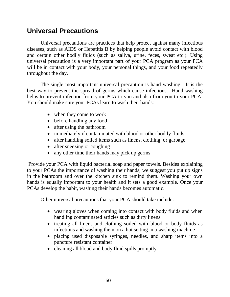### **Universal Precautions**

Universal precautions are practices that help protect against many infectious diseases, such as AIDS or Hepatitis B by helping people avoid contact with blood and certain other bodily fluids (such as saliva, urine, feces, sweat etc.). Using universal precaution is a very important part of your PCA program as your PCA will be in contact with your body, your personal things, and your food repeatedly throughout the day.

The single most important universal precaution is hand washing. It is the best way to prevent the spread of germs which cause infections. Hand washing helps to prevent infection from your PCA to you and also from you to your PCA. You should make sure your PCAs learn to wash their hands:

- when they come to work
- before handling any food
- after using the bathroom
- immediately if contaminated with blood or other bodily fluids
- after handling soiled items such as linens, clothing, or garbage
- after sneezing or coughing
- any other time their hands may pick up germs

Provide your PCA with liquid bacterial soap and paper towels. Besides explaining to your PCAs the importance of washing their hands, we suggest you put up signs in the bathroom and over the kitchen sink to remind them. Washing your own hands is equally important to your health and it sets a good example. Once your PCAs develop the habit, washing their hands becomes automatic.

Other universal precautions that your PCA should take include:

- wearing gloves when coming into contact with body fluids and when handling contaminated articles such as dirty linens
- treating all linens and clothing soiled with blood or body fluids as infectious and washing them on a hot setting in a washing machine
- placing used disposable syringes, needles, and sharp items into a puncture resistant container
- cleaning all blood and body fluid spills promptly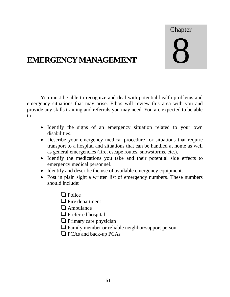# Chapter 8

# **EMERGENCY MANAGEMENT**

You must be able to recognize and deal with potential health problems and emergency situations that may arise. Ethos will review this area with you and provide any skills training and referrals you may need. You are expected to be able to:

- Identify the signs of an emergency situation related to your own disabilities.
- Describe your emergency medical procedure for situations that require transport to a hospital and situations that can be handled at home as well as general emergencies (fire, escape routes, snowstorms, etc.).
- Identify the medications you take and their potential side effects to emergency medical personnel.
- Identify and describe the use of available emergency equipment.
- Post in plain sight a written list of emergency numbers. These numbers should include:
	- $\Box$  Police
	- $\Box$  Fire department
	- $\Box$  Ambulance
	- **Q** Preferred hospital
	- $\Box$  Primary care physician
	- Family member or reliable neighbor/support person
	- $\Box$  PCAs and back-up PCAs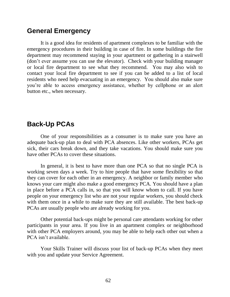### **General Emergency**

It is a good idea for residents of apartment complexes to be familiar with the emergency procedures in their building in case of fire. In some buildings the fire department may recommend staying in your apartment or gathering in a stairwell (don't ever assume you can use the elevator). Check with your building manager or local fire department to see what they recommend. You may also wish to contact your local fire department to see if you can be added to a list of local residents who need help evacuating in an emergency. You should also make sure you're able to access emergency assistance, whether by cellphone or an alert button etc., when necessary.

### **Back-Up PCAs**

One of your responsibilities as a consumer is to make sure you have an adequate back-up plan to deal with PCA absences. Like other workers, PCAs get sick, their cars break down, and they take vacations. You should make sure you have other PCAs to cover these situations.

In general, it is best to have more than one PCA so that no single PCA is working seven days a week. Try to hire people that have some flexibility so that they can cover for each other in an emergency. A neighbor or family member who knows your care might also make a good emergency PCA. You should have a plan in place before a PCA calls in, so that you will know whom to call. If you have people on your emergency list who are not your regular workers, you should check with them once in a while to make sure they are still available. The best back-up PCAs are usually people who are already working for you.

Other potential back-ups might be personal care attendants working for other participants in your area. If you live in an apartment complex or neighborhood with other PCA employers around, you may be able to help each other out when a PCA isn't available.

Your Skills Trainer will discuss your list of back-up PCAs when they meet with you and update your Service Agreement.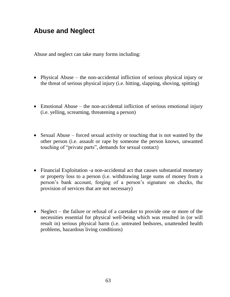## **Abuse and Neglect**

Abuse and neglect can take many forms including:

- Physical Abuse the non-accidental infliction of serious physical injury or the threat of serious physical injury (i.e. hitting, slapping, shoving, spitting)
- Emotional Abuse the non-accidental infliction of serious emotional injury (i.e. yelling, screaming, threatening a person)
- Sexual Abuse forced sexual activity or touching that is not wanted by the other person (i.e. assault or rape by someone the person knows, unwanted touching of "private parts", demands for sexual contact)
- Financial Exploitation -a non-accidental act that causes substantial monetary or property loss to a person (i.e. withdrawing large sums of money from a person's bank account, forging of a person's signature on checks, the provision of services that are not necessary)
- Neglect the failure or refusal of a caretaker to provide one or more of the necessities essential for physical well-being which was resulted in (or will result in) serious physical harm (i.e. untreated bedsores, unattended health problems, hazardous living conditions)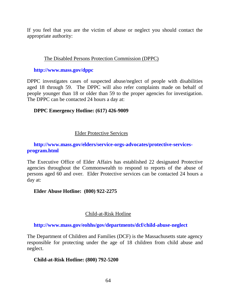If you feel that you are the victim of abuse or neglect you should contact the appropriate authority:

### The Disabled Persons Protection Commission (DPPC)

#### **<http://www.mass.gov/dppc>**

DPPC investigates cases of suspected abuse/neglect of people with disabilities aged 18 through 59. The DPPC will also refer complaints made on behalf of people younger than 18 or older than 59 to the proper agencies for investigation. The DPPC can be contacted 24 hours a day at:

### **DPPC Emergency Hotline: (617) 426-9009**

### Elder Protective Services

### **[http://www.mass.gov/elders/service-orgs-advocates/protective-services](http://www.mass.gov/elders/service-orgs-advocates/protective-services-%20program.html)[program.html](http://www.mass.gov/elders/service-orgs-advocates/protective-services-%20program.html)**

The Executive Office of Elder Affairs has established 22 designated Protective agencies throughout the Commonwealth to respond to reports of the abuse of persons aged 60 and over. Elder Protective services can be contacted 24 hours a day at:

### **Elder Abuse Hotline: (800) 922-2275**

### Child-at-Risk Hotline

**<http://www.mass.gov/eohhs/gov/departments/dcf/child-abuse-neglect>**

The Department of Children and Families (DCF) is the Massachusetts state agency responsible for protecting under the age of 18 children from child abuse and neglect.

### **Child-at-Risk Hotline: (800) 792-5200**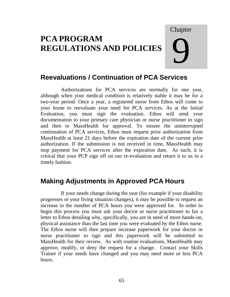# **PCA PROGRAM REGULATIONS AND POLICIES**

# Chapter 9

# **Reevaluations / Continuation of PCA Services**

Authorizations for PCA services are normally for one year, although when your medical condition is relatively stable it may be for a two-year period. Once a year, a registered nurse from Ethos will come to your home to reevaluate your need for PCA services. As at the Initial Evaluation, you must sign the evaluation. Ethos will send your documentation to your primary care physician or nurse practitioner to sign and then to MassHealth for approval. To ensure the uninterrupted continuation of PCA services, Ethos must request prior authorization from MassHealth at least 21 days before the expiration date of the current prior authorization. If the submission is not received in time, MassHealth may stop payment for PCA services after the expiration date. As such, it is critical that your PCP sign off on our re-evaluation and return it to us in a timely fashion.

## **Making Adjustments in Approved PCA Hours**

If your needs change during the year (for example if your disability progresses or your living situation changes), it may be possible to request an increase in the number of PCA hours you were approved for. In order to begin this process you must ask your doctor or nurse practitioner to fax a letter to Ethos detailing why, specifically, you are in need of more hands-on, physical assistance than the last time you were evaluated by the Ethos nurse. The Ethos nurse will then prepare increase paperwork for your doctor or nurse practitioner to sign and this paperwork will be submitted to MassHealth for their review. As with routine evaluations, MassHealth may approve, modify, or deny the request for a change. Contact your Skills Trainer if your needs have changed and you may need more or less PCA hours.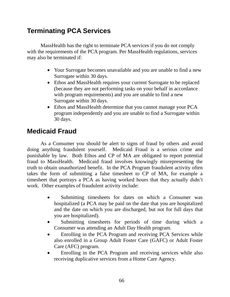# **Terminating PCA Services**

MassHealth has the right to terminate PCA services if you do not comply with the requirements of the PCA program. Per MassHealth regulations, services may also be terminated if:

- Your Surrogate becomes unavailable and you are unable to find a new Surrogate within 30 days.
- Ethos and MassHealth requires your current Surrogate to be replaced (because they are not performing tasks on your behalf in accordance with program requirements) and you are unable to find a new Surrogate within 30 days.
- Ethos and MassHealth determine that you cannot manage your PCA program independently and you are unable to find a Surrogate within 30 days.

# **Medicaid Fraud**

As a Consumer you should be alert to signs of fraud by others and avoid doing anything fraudulent yourself. Medicaid Fraud is a serious crime and punishable by law. Both Ethos and CP of MA are obligated to report potential fraud to MassHealth. Medicaid fraud involves knowingly misrepresenting the truth to obtain unauthorized benefit. In the PCA Program fraudulent activity often takes the form of submitting a false timesheet to CP of MA, for example a timesheet that portrays a PCA as having worked hours that they actually didn't work. Other examples of fraudulent activity include:

- Submitting timesheets for dates on which a Consumer was hospitalized (a PCA may be paid on the date that you are hospitalized and the date on which you are discharged, but not for full days that you are hospitalized).
- Submitting timesheets for periods of time during which a Consumer was attending an Adult Day Health program.
- Enrolling in the PCA Program and receiving PCA Services while also enrolled in a Group Adult Foster Care (GAFC) or Adult Foster Care (AFC) program.
- Enrolling in the PCA Program and receiving services while also receiving duplicative services from a Home Care Agency.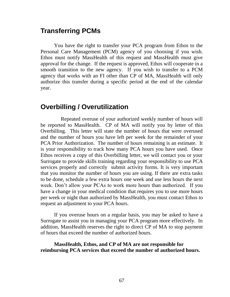## **Transferring PCMs**

You have the right to transfer your PCA program from Ethos to the Personal Care Management (PCM) agency of you choosing if you wish. Ethos must notify MassHealth of this request and MassHealth must give approval for the change. If the request is approved, Ethos will cooperate in a smooth transition to the new agency. If you wish to transfer to a PCM agency that works with an FI other than CP of MA, MassHealth will only authorize this transfer during a specific period at the end of the calendar year.

### **Overbilling / Overutilization**

Repeated overuse of your authorized weekly number of hours will be reported to MassHealth. CP of MA will notify you by letter of this Overbilling. This letter will state the number of hours that were overused and the number of hours you have left per week for the remainder of your PCA Prior Authorization. The number of hours remaining is an estimate. It is your responsibility to track how many PCA hours you have used. Once Ethos receives a copy of this Overbilling letter, we will contact you or your Surrogate to provide skills training regarding your responsibility to use PCA services properly and correctly submit activity forms. It is very important that you monitor the number of hours you are using. If there are extra tasks to be done, schedule a few extra hours one week and use less hours the next week. Don't allow your PCAs to work more hours than authorized. If you have a change in your medical condition that requires you to use more hours per week or night than authorized by MassHealth, you must contact Ethos to request an adjustment to your PCA hours.

If you overuse hours on a regular basis, you may be asked to have a Surrogate to assist you in managing your PCA program more effectively. In addition, MassHealth reserves the right to direct CP of MA to stop payment of hours that exceed the number of authorized hours.

#### **MassHealth, Ethos, and CP of MA are not responsible for reimbursing PCA services that exceed the number of authorized hours.**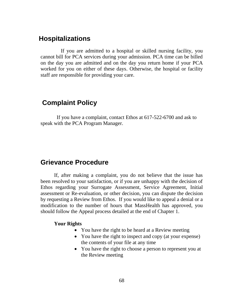## **Hospitalizations**

If you are admitted to a hospital or skilled nursing facility, you cannot bill for PCA services during your admission. PCA time can be billed on the day you are admitted and on the day you return home if your PCA worked for you on either of these days. Otherwise, the hospital or facility staff are responsible for providing your care.

## **Complaint Policy**

 If you have a complaint, contact Ethos at 617-522-6700 and ask to speak with the PCA Program Manager.

## **Grievance Procedure**

If, after making a complaint, you do not believe that the issue has been resolved to your satisfaction, or if you are unhappy with the decision of Ethos regarding your Surrogate Assessment, Service Agreement, Initial assessment or Re-evaluation, or other decision, you can dispute the decision by requesting a Review from Ethos. If you would like to appeal a denial or a modification to the number of hours that MassHealth has approved, you should follow the Appeal process detailed at the end of Chapter 1.

#### **Your Rights**

- You have the right to be heard at a Review meeting
- You have the right to inspect and copy (at your expense) the contents of your file at any time
- You have the right to choose a person to represent you at the Review meeting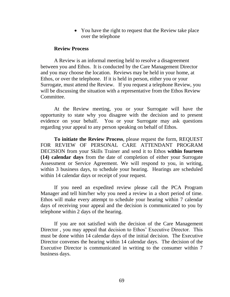• You have the right to request that the Review take place over the telephone

#### **Review Process**

A Review is an informal meeting held to resolve a disagreement between you and Ethos. It is conducted by the Care Management Director and you may choose the location. Reviews may be held in your home, at Ethos, or over the telephone. If it is held in person, either you or your Surrogate, must attend the Review. If you request a telephone Review, you will be discussing the situation with a representative from the Ethos Review Committee.

At the Review meeting, you or your Surrogate will have the opportunity to state why you disagree with the decision and to present evidence on your behalf. You or your Surrogate may ask questions regarding your appeal to any person speaking on behalf of Ethos.

**To initiate the Review Process**, please request the form, REQUEST FOR REVIEW OF PERSONAL CARE ATTENDANT PROGRAM DECISION from your Skills Trainer and send it to Ethos **within fourteen (14) calendar days** from the date of completion of either your Surrogate Assessment or Service Agreement. We will respond to you, in writing, within 3 business days, to schedule your hearing. Hearings are scheduled within 14 calendar days or receipt of your request.

If you need an expedited review please call the PCA Program Manager and tell him/her why you need a review in a short period of time. Ethos will make every attempt to schedule your hearing within 7 calendar days of receiving your appeal and the decision is communicated to you by telephone within 2 days of the hearing.

If you are not satisfied with the decision of the Care Management Director , you may appeal that decision to Ethos' Executive Director. This must be done within 14 calendar days of the initial decision. The Executive Director convenes the hearing within 14 calendar days. The decision of the Executive Director is communicated in writing to the consumer within 7 business days.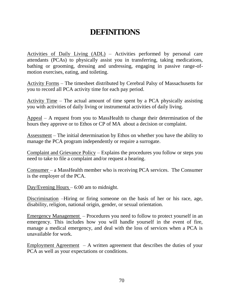# **DEFINITIONS**

Activities of Daily Living (ADL) – Activities performed by personal care attendants (PCAs) to physically assist you in transferring, taking medications, bathing or grooming, dressing and undressing, engaging in passive range-ofmotion exercises, eating, and toileting.

Activity Forms – The timesheet distributed by Cerebral Palsy of Massachusetts for you to record all PCA activity time for each pay period.

Activity Time – The actual amount of time spent by a PCA physically assisting you with activities of daily living or instrumental activities of daily living.

Appeal – A request from you to MassHealth to change their determination of the hours they approve or to Ethos or CP of MA about a decision or complaint.

Assessment – The initial determination by Ethos on whether you have the ability to manage the PCA program independently or require a surrogate.

Complaint and Grievance Policy – Explains the procedures you follow or steps you need to take to file a complaint and/or request a hearing.

Consumer – a MassHealth member who is receiving PCA services. The Consumer is the employer of the PCA.

Day/Evening Hours – 6:00 am to midnight.

Discrimination –Hiring or firing someone on the basis of her or his race, age, disability, religion, national origin, gender, or sexual orientation.

Emergency Management – Procedures you need to follow to protect yourself in an emergency. This includes how you will handle yourself in the event of fire, manage a medical emergency, and deal with the loss of services when a PCA is unavailable for work.

Employment Agreement – A written agreement that describes the duties of your PCA as well as your expectations or conditions.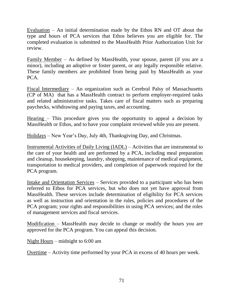Evaluation – An initial determination made by the Ethos RN and OT about the type and hours of PCA services that Ethos believes you are eligible for. The completed evaluation is submitted to the MassHealth Prior Authorization Unit for review.

Family Member – As defined by MassHealth, your spouse, parent (if you are a minor), including an adoptive or foster parent, or any legally responsible relative. These family members are prohibited from being paid by MassHealth as your PCA.

Fiscal Intermediary – An organization such as Cerebral Palsy of Massachusetts (CP of MA) that has a MassHealth contract to perform employer-required tasks and related administrative tasks. Takes care of fiscal matters such as preparing paychecks, withdrawing and paying taxes, and accounting.

Hearing – This procedure gives you the opportunity to appeal a decision by MassHealth or Ethos, and to have your complaint reviewed while you are present.

Holidays – New Year's Day, July 4th, Thanksgiving Day, and Christmas.

Instrumental Activities of Daily Living (IADL) – Activities that are instrumental to the care of your health and are performed by a PCA, including meal preparation and cleanup, housekeeping, laundry, shopping, maintenance of medical equipment, transportation to medical providers, and completion of paperwork required for the PCA program.

Intake and Orientation Services – Services provided to a participant who has been referred to Ethos for PCA services, but who does not yet have approval from MassHealth. These services include determination of eligibility for PCA services as well as instruction and orientation in the rules, policies and procedures of the PCA program; your rights and responsibilities in using PCA services; and the roles of management services and fiscal services.

Modification – MassHealth may decide to change or modify the hours you are approved for the PCA program. You can appeal this decision.

Night Hours – midnight to 6:00 am

Overtime – Activity time performed by your PCA in excess of 40 hours per week.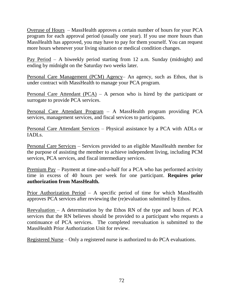Overuse of Hours – MassHealth approves a certain number of hours for your PCA program for each approval period (usually one year). If you use more hours than MassHealth has approved, you may have to pay for them yourself. You can request more hours whenever your living situation or medical condition changes.

Pay Period – A biweekly period starting from 12 a.m. Sunday (midnight) and ending by midnight on the Saturday two weeks later.

Personal Care Management (PCM) Agency– An agency, such as Ethos, that is under contract with MassHealth to manage your PCA program.

Personal Care Attendant (PCA) – A person who is hired by the participant or surrogate to provide PCA services.

Personal Care Attendant Program – A MassHealth program providing PCA services, management services, and fiscal services to participants.

Personal Care Attendant Services - Physical assistance by a PCA with ADLs or IADLs.

Personal Care Services – Services provided to an eligible MassHealth member for the purpose of assisting the member to achieve independent living, including PCM services, PCA services, and fiscal intermediary services.

Premium Pay – Payment at time-and-a-half for a PCA who has performed activity time in excess of 40 hours per week for one participant. **Requires prior authorization from MassHealth.**

Prior Authorization Period – A specific period of time for which MassHealth approves PCA services after reviewing the (re)evaluation submitted by Ethos.

Reevaluation – A determination by the Ethos RN of the type and hours of PCA services that the RN believes should be provided to a participant who requests a continuance of PCA services. The completed reevaluation is submitted to the MassHealth Prior Authorization Unit for review.

Registered Nurse – Only a registered nurse is authorized to do PCA evaluations.